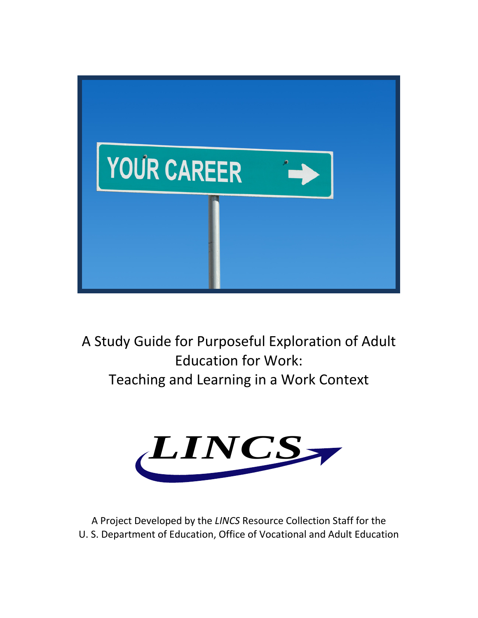

A Study Guide for Purposeful Exploration of Adult Education for Work: Teaching and Learning in a Work Context



A Project Developed by the *LINCS* Resource Collection Staff for the U. S. Department of Education, Office of Vocational and Adult Education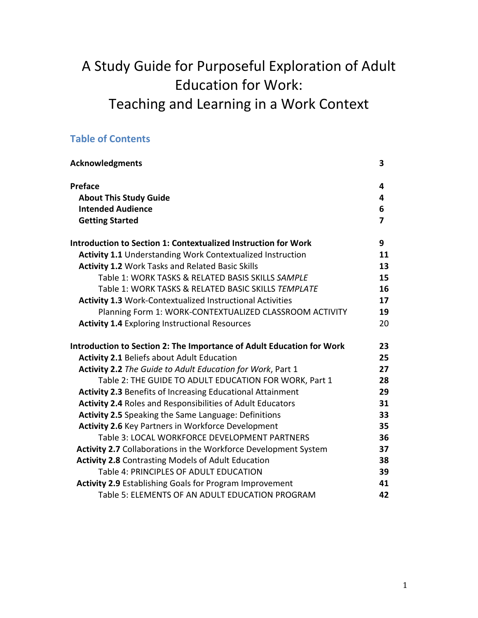# A Study Guide for Purposeful Exploration of Adult Education for Work: Teaching and Learning in a Work Context

# **Table of Contents**

| <b>Acknowledgments</b>                                                | 3  |
|-----------------------------------------------------------------------|----|
| <b>Preface</b>                                                        | 4  |
| <b>About This Study Guide</b>                                         | 4  |
| <b>Intended Audience</b>                                              | 6  |
| <b>Getting Started</b>                                                | 7  |
| <b>Introduction to Section 1: Contextualized Instruction for Work</b> | 9  |
| <b>Activity 1.1 Understanding Work Contextualized Instruction</b>     | 11 |
| <b>Activity 1.2 Work Tasks and Related Basic Skills</b>               | 13 |
| Table 1: WORK TASKS & RELATED BASIS SKILLS SAMPLE                     | 15 |
| Table 1: WORK TASKS & RELATED BASIC SKILLS TEMPLATE                   | 16 |
| <b>Activity 1.3 Work-Contextualized Instructional Activities</b>      | 17 |
| Planning Form 1: WORK-CONTEXTUALIZED CLASSROOM ACTIVITY               | 19 |
| <b>Activity 1.4 Exploring Instructional Resources</b>                 | 20 |
| Introduction to Section 2: The Importance of Adult Education for Work | 23 |
| <b>Activity 2.1 Beliefs about Adult Education</b>                     | 25 |
| Activity 2.2 The Guide to Adult Education for Work, Part 1            | 27 |
| Table 2: THE GUIDE TO ADULT EDUCATION FOR WORK, Part 1                | 28 |
| <b>Activity 2.3 Benefits of Increasing Educational Attainment</b>     | 29 |
| <b>Activity 2.4 Roles and Responsibilities of Adult Educators</b>     | 31 |
| Activity 2.5 Speaking the Same Language: Definitions                  | 33 |
| <b>Activity 2.6 Key Partners in Workforce Development</b>             | 35 |
| Table 3: LOCAL WORKFORCE DEVELOPMENT PARTNERS                         | 36 |
| Activity 2.7 Collaborations in the Workforce Development System       | 37 |
| <b>Activity 2.8 Contrasting Models of Adult Education</b>             | 38 |
| Table 4: PRINCIPLES OF ADULT EDUCATION                                | 39 |
| <b>Activity 2.9 Establishing Goals for Program Improvement</b>        | 41 |
| Table 5: ELEMENTS OF AN ADULT EDUCATION PROGRAM                       | 42 |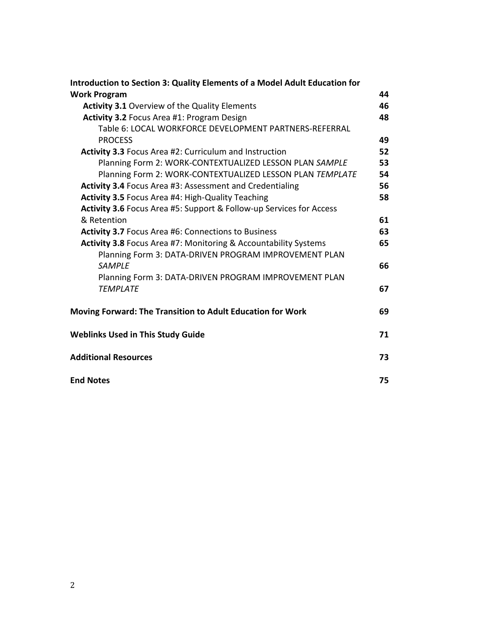| <b>Introduction to Section 3: Quality Elements of a Model Adult Education for</b> |    |
|-----------------------------------------------------------------------------------|----|
| <b>Work Program</b>                                                               | 44 |
| <b>Activity 3.1 Overview of the Quality Elements</b>                              | 46 |
| Activity 3.2 Focus Area #1: Program Design                                        | 48 |
| Table 6: LOCAL WORKFORCE DEVELOPMENT PARTNERS-REFERRAL<br><b>PROCESS</b>          | 49 |
| <b>Activity 3.3 Focus Area #2: Curriculum and Instruction</b>                     | 52 |
| Planning Form 2: WORK-CONTEXTUALIZED LESSON PLAN SAMPLE                           | 53 |
| Planning Form 2: WORK-CONTEXTUALIZED LESSON PLAN TEMPLATE                         | 54 |
| Activity 3.4 Focus Area #3: Assessment and Credentialing                          | 56 |
| <b>Activity 3.5 Focus Area #4: High-Quality Teaching</b>                          | 58 |
| Activity 3.6 Focus Area #5: Support & Follow-up Services for Access               |    |
| & Retention                                                                       | 61 |
| <b>Activity 3.7 Focus Area #6: Connections to Business</b>                        | 63 |
| Activity 3.8 Focus Area #7: Monitoring & Accountability Systems                   | 65 |
| Planning Form 3: DATA-DRIVEN PROGRAM IMPROVEMENT PLAN                             |    |
| <b>SAMPLE</b>                                                                     | 66 |
| Planning Form 3: DATA-DRIVEN PROGRAM IMPROVEMENT PLAN                             |    |
| <b>TEMPLATE</b>                                                                   | 67 |
| Moving Forward: The Transition to Adult Education for Work                        | 69 |
| <b>Weblinks Used in This Study Guide</b>                                          | 71 |
| <b>Additional Resources</b>                                                       | 73 |
| <b>End Notes</b>                                                                  | 75 |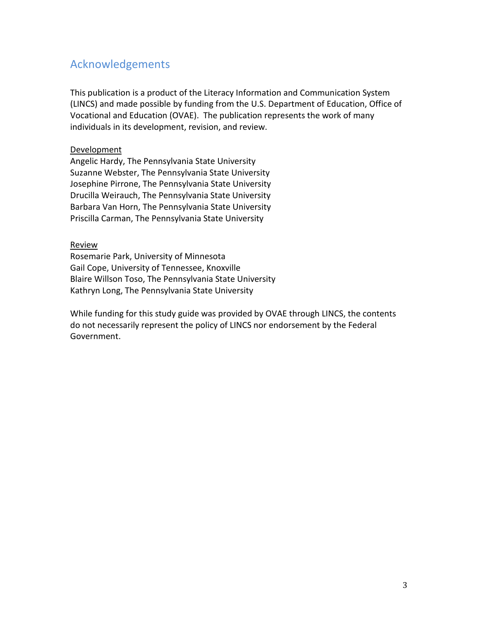# Acknowledgements

This publication is a product of the Literacy Information and Communication System (LINCS) and made possible by funding from the U.S. Department of Education, Office of Vocational and Education (OVAE). The publication represents the work of many individuals in its development, revision, and review.

### Development

Angelic Hardy, The Pennsylvania State University Suzanne Webster, The Pennsylvania State University Josephine Pirrone, The Pennsylvania State University Drucilla Weirauch, The Pennsylvania State University Barbara Van Horn, The Pennsylvania State University Priscilla Carman, The Pennsylvania State University

### **Review**

Rosemarie Park, University of Minnesota Gail Cope, University of Tennessee, Knoxville Blaire Willson Toso, The Pennsylvania State University Kathryn Long, The Pennsylvania State University

While funding for this study guide was provided by OVAE through LINCS, the contents do not necessarily represent the policy of LINCS nor endorsement by the Federal Government.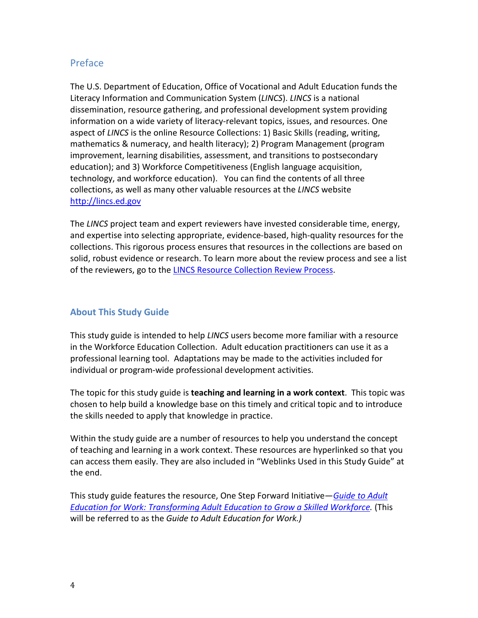# Preface

The U.S. Department of Education, Office of Vocational and Adult Education funds the Literacy Information and Communication System (*LINCS*). *LINCS* is a national dissemination, resource gathering, and professional development system providing information on a wide variety of literacy-relevant topics, issues, and resources. One aspect of *LINCS* is the online Resource Collections: 1) Basic Skills (reading, writing, mathematics & numeracy, and health literacy); 2) Program Management (program improvement, learning disabilities, assessment, and transitions to postsecondary education); and 3) Workforce Competitiveness (English language acquisition, technology, and workforce education). You can find the contents of all three collections, as well as many other valuable resources at the *LINCS* website [http://lincs.ed.gov](http://lincs.ed.gov/)

The *LINCS* project team and expert reviewers have invested considerable time, energy, and expertise into selecting appropriate, evidence-based, high-quality resources for the collections. This rigorous process ensures that resources in the collections are based on solid, robust evidence or research. To learn more about the review process and see a list of the reviewers, go to the [LINCS Resource Collection Review Process.](http://lincs.ed.gov/lincs/resourcecollections/reviewprocess.html)

# **About This Study Guide**

This study guide is intended to help *LINCS* users become more familiar with a resource in the Workforce Education Collection. Adult education practitioners can use it as a professional learning tool. Adaptations may be made to the activities included for individual or program-wide professional development activities.

The topic for this study guide is **teaching and learning in a work context**. This topic was chosen to help build a knowledge base on this timely and critical topic and to introduce the skills needed to apply that knowledge in practice.

Within the study guide are a number of resources to help you understand the concept of teaching and learning in a work context. These resources are hyperlinked so that you can access them easily. They are also included in "Weblinks Used in this Study Guide" at the end.

This study guide features the resource, One Step Forward Initiative—*[Guide to Adult](http://www.ncee.org/wp-content/uploads/2010/09/adult_ed_work_guide.pdf)  [Education for Work: Transforming Adult Education to Grow a Skilled Workforce.](http://www.ncee.org/wp-content/uploads/2010/09/adult_ed_work_guide.pdf)* (This will be referred to as the *Guide to Adult Education for Work.)*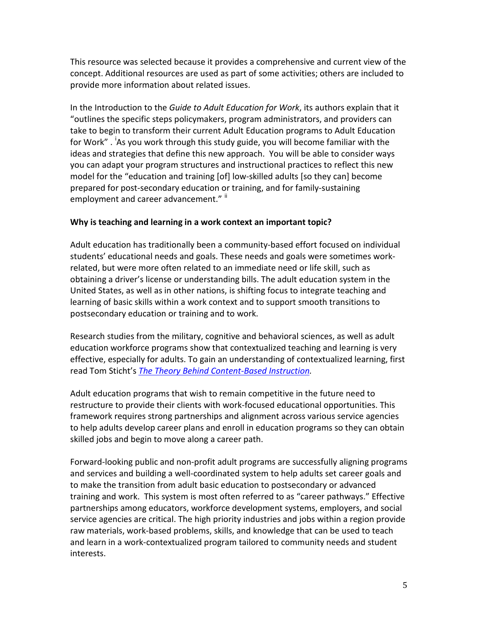This resource was selected because it provides a comprehensive and current view of the concept. Additional resources are used as part of some activities; others are included to provide more information about related issues.

In the Introduction to the *Guide to Adult Education for Work*, its authors explain that it "outlines the specific steps policymakers, program administrators, and providers can take to begin to transform their current Adult Education programs to Adult Education for Work" . <sup>[i](#page-75-0)</sup>As you work through this study guide, you will become familiar with the ideas and strategies that define this new approach. You will be able to consider ways you can adapt your program structures and instructional practices to reflect this new model for the "education and training [of] low-skilled adults [so they can] become prepared for post-secondary education or training, and for family-sustaining employment and career advancement."  $\mathbb{I}$ 

### **Why is teaching and learning in a work context an important topic?**

Adult education has traditionally been a community-based effort focused on individual students' educational needs and goals. These needs and goals were sometimes workrelated, but were more often related to an immediate need or life skill, such as obtaining a driver's license or understanding bills. The adult education system in the United States, as well as in other nations, is shifting focus to integrate teaching and learning of basic skills within a work context and to support smooth transitions to postsecondary education or training and to work.

Research studies from the military, cognitive and behavioral sciences, as well as adult education workforce programs show that contextualized teaching and learning is very effective, especially for adults. To gain an understanding of contextualized learning, first read Tom Sticht's *[The Theory Behind Content-Based Instruction.](http://www.ncsall.net/?id=433)*

Adult education programs that wish to remain competitive in the future need to restructure to provide their clients with work-focused educational opportunities. This framework requires strong partnerships and alignment across various service agencies to help adults develop career plans and enroll in education programs so they can obtain skilled jobs and begin to move along a career path.

Forward-looking public and non-profit adult programs are successfully aligning programs and services and building a well-coordinated system to help adults set career goals and to make the transition from adult basic education to postsecondary or advanced training and work. This system is most often referred to as "career pathways." Effective partnerships among educators, workforce development systems, employers, and social service agencies are critical. The high priority industries and jobs within a region provide raw materials, work-based problems, skills, and knowledge that can be used to teach and learn in a work-contextualized program tailored to community needs and student interests.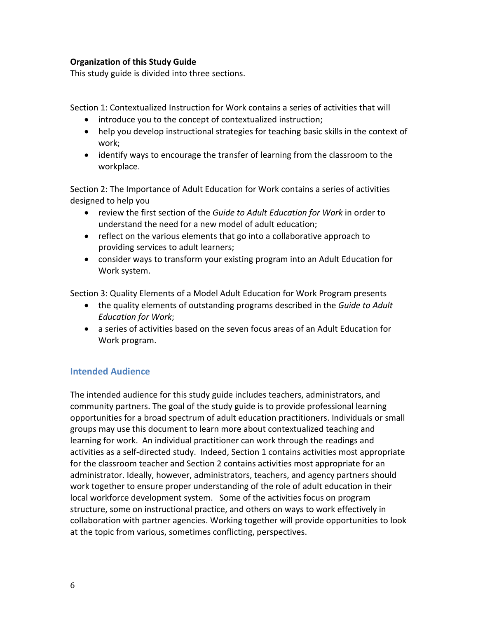### **Organization of this Study Guide**

This study guide is divided into three sections.

Section 1: Contextualized Instruction for Work contains a series of activities that will

- introduce you to the concept of contextualized instruction;
- help you develop instructional strategies for teaching basic skills in the context of work;
- identify ways to encourage the transfer of learning from the classroom to the workplace.

Section 2: The Importance of Adult Education for Work contains a series of activities designed to help you

- review the first section of the *Guide to Adult Education for Work* in order to understand the need for a new model of adult education;
- reflect on the various elements that go into a collaborative approach to providing services to adult learners;
- consider ways to transform your existing program into an Adult Education for Work system.

Section 3: Quality Elements of a Model Adult Education for Work Program presents

- the quality elements of outstanding programs described in the *Guide to Adult Education for Work*;
- a series of activities based on the seven focus areas of an Adult Education for Work program.

# **Intended Audience**

The intended audience for this study guide includes teachers, administrators, and community partners. The goal of the study guide is to provide professional learning opportunities for a broad spectrum of adult education practitioners. Individuals or small groups may use this document to learn more about contextualized teaching and learning for work. An individual practitioner can work through the readings and activities as a self-directed study. Indeed, Section 1 contains activities most appropriate for the classroom teacher and Section 2 contains activities most appropriate for an administrator. Ideally, however, administrators, teachers, and agency partners should work together to ensure proper understanding of the role of adult education in their local workforce development system. Some of the activities focus on program structure, some on instructional practice, and others on ways to work effectively in collaboration with partner agencies. Working together will provide opportunities to look at the topic from various, sometimes conflicting, perspectives.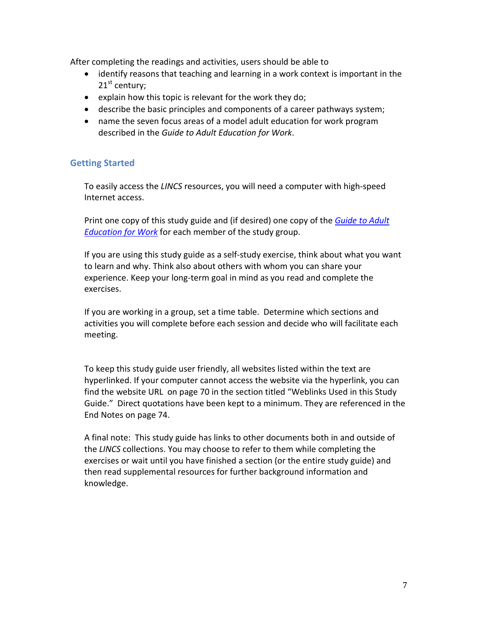After completing the readings and activities, users should be able to

- identify reasons that teaching and learning in a work context is important in the  $21<sup>st</sup>$  century;
- explain how this topic is relevant for the work they do;
- describe the basic principles and components of a career pathways system;
- name the seven focus areas of a model adult education for work program described in the *Guide to Adult Education for Work*.

# **Getting Started**

To easily access the *LINCS* resources, you will need a computer with high-speed Internet access.

Print one copy of this study guide and (if desired) one copy of the *[Guide to Adult](http://www.ncee.org/wp-content/uploads/2010/09/adult_ed_work_guide.pdf)  [Education for Work](http://www.ncee.org/wp-content/uploads/2010/09/adult_ed_work_guide.pdf)* for each member of the study group.

If you are using this study guide as a self-study exercise, think about what you want to learn and why. Think also about others with whom you can share your experience. Keep your long-term goal in mind as you read and complete the exercises.

If you are working in a group, set a time table. Determine which sections and activities you will complete before each session and decide who will facilitate each meeting.

To keep this study guide user friendly, all websites listed within the text are hyperlinked. If your computer cannot access the website via the hyperlink, you can find the website URL on page 70 in the section titled "Weblinks Used in this Study Guide." Direct quotations have been kept to a minimum. They are referenced in the End Notes on page 74.

A final note: This study guide has links to other documents both in and outside of the *LINCS* collections. You may choose to refer to them while completing the exercises or wait until you have finished a section (or the entire study guide) and then read supplemental resources for further background information and knowledge.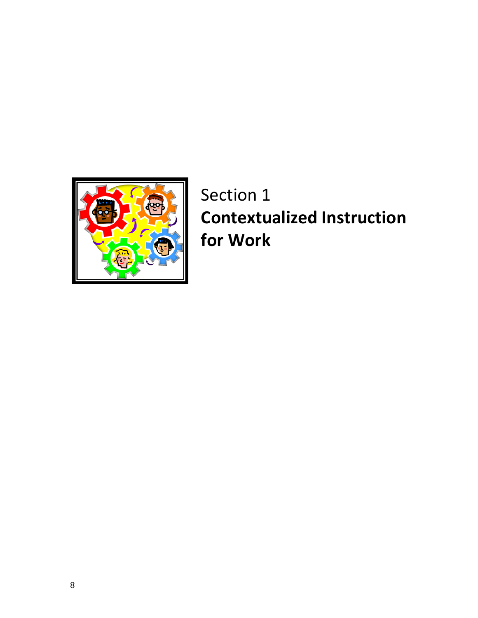

Section 1 **Contextualized Instruction for Work**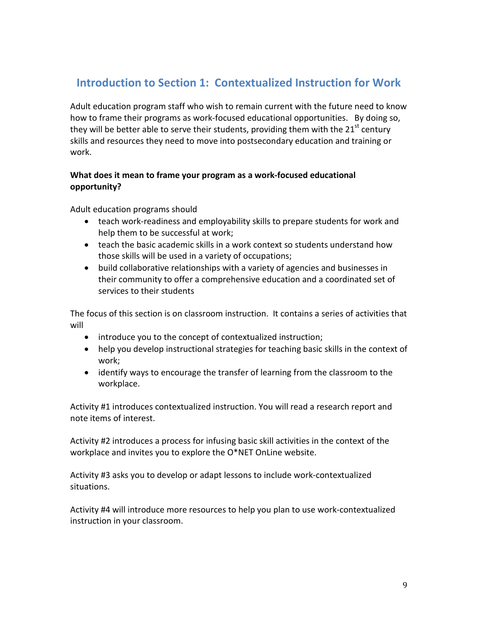# **Introduction to Section 1: Contextualized Instruction for Work**

Adult education program staff who wish to remain current with the future need to know how to frame their programs as work-focused educational opportunities. By doing so, they will be better able to serve their students, providing them with the 21<sup>st</sup> century skills and resources they need to move into postsecondary education and training or work.

# **What does it mean to frame your program as a work-focused educational opportunity?**

Adult education programs should

- teach work-readiness and employability skills to prepare students for work and help them to be successful at work;
- teach the basic academic skills in a work context so students understand how those skills will be used in a variety of occupations;
- build collaborative relationships with a variety of agencies and businesses in their community to offer a comprehensive education and a coordinated set of services to their students

The focus of this section is on classroom instruction. It contains a series of activities that will

- introduce you to the concept of contextualized instruction;
- help you develop instructional strategies for teaching basic skills in the context of work;
- identify ways to encourage the transfer of learning from the classroom to the workplace.

Activity #1 introduces contextualized instruction. You will read a research report and note items of interest.

Activity #2 introduces a process for infusing basic skill activities in the context of the workplace and invites you to explore the O\*NET OnLine website.

Activity #3 asks you to develop or adapt lessons to include work-contextualized situations.

Activity #4 will introduce more resources to help you plan to use work-contextualized instruction in your classroom.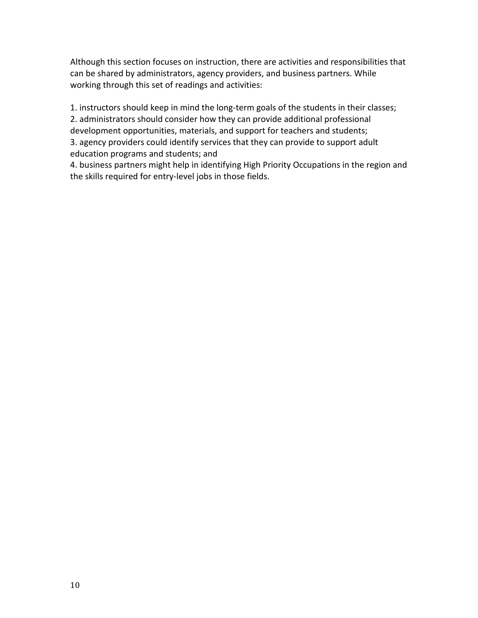Although this section focuses on instruction, there are activities and responsibilities that can be shared by administrators, agency providers, and business partners. While working through this set of readings and activities:

1. instructors should keep in mind the long-term goals of the students in their classes; 2. administrators should consider how they can provide additional professional development opportunities, materials, and support for teachers and students; 3. agency providers could identify services that they can provide to support adult education programs and students; and

4. business partners might help in identifying High Priority Occupations in the region and the skills required for entry-level jobs in those fields.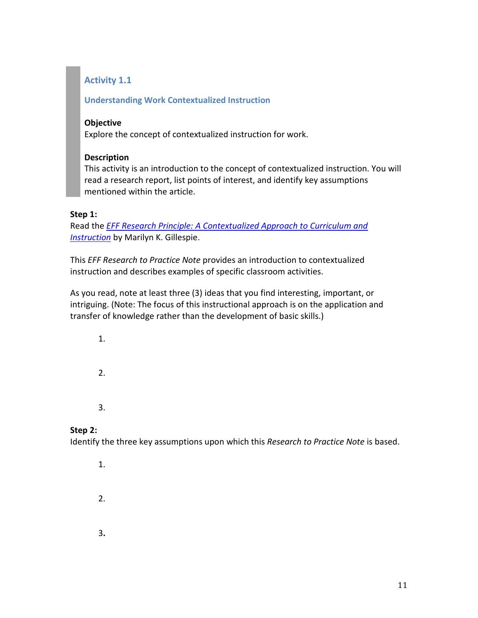# **Activity 1.1**

# **Understanding Work Contextualized Instruction**

### **Objective**

Explore the concept of contextualized instruction for work.

### **Description**

This activity is an introduction to the concept of contextualized instruction. You will read a research report, list points of interest, and identify key assumptions mentioned within the article.

### **Step 1:**

Read the *[EFF Research Principle: A Contextualized Approach to Curriculum and](http://www.edpubs.gov/document/ED001934W.pdf)  [Instruction](http://www.edpubs.gov/document/ED001934W.pdf)* by Marilyn K. Gillespie.

This *EFF Research to Practice Note* provides an introduction to contextualized instruction and describes examples of specific classroom activities.

As you read, note at least three (3) ideas that you find interesting, important, or intriguing. (Note: The focus of this instructional approach is on the application and transfer of knowledge rather than the development of basic skills.)

1. 2. 3.

# **Step 2:**

Identify the three key assumptions upon which this *Research to Practice Note* is based.

- 1. 2.
- 3**.**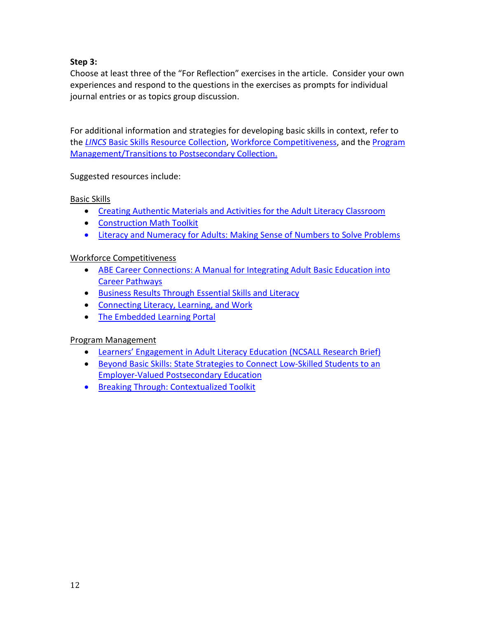# **Step 3:**

Choose at least three of the "For Reflection" exercises in the article. Consider your own experiences and respond to the questions in the exercises as prompts for individual journal entries or as topics group discussion.

For additional information and strategies for developing basic skills in context, refer to the *LINCS* [Basic Skills Resource Collection,](http://lincs.ed.gov/lincs/resourcecollections/BasicSkills) [Workforce Competitiveness,](http://lincs.ed.gov/lincs/resourcecollections/Workforce) and the [Program](http://lincs.ed.gov/lincs/resourcecollections/ProgramManagement)  [Management/Transitions to Postsecondary Collection.](http://lincs.ed.gov/lincs/resourcecollections/ProgramManagement)

Suggested resources include:

# Basic Skills

- [Creating Authentic Materials and Activities for the Adult Literacy](http://lincs.ed.gov/lincs/resourcecollections/abstracts/basicskills/RC_skills_abs06.html) Classroom
- [Construction](http://lincs.ed.gov/lincs/resourcecollections/abstracts/basicskills/RC_skills_abs29.html) Math Toolkit
- [Literacy and Numeracy for Adults: Making Sense of Numbers to Solve Problems](http://lincs.ed.gov/lincs/resourcecollections/abstracts/basicskills/RC_skills_abs52)

# Workforce Competitiveness

- [ABE Career Connections: A Manual for Integrating Adult Basic Education into](http://lincs.ed.gov/lincs/resourcecollections/abstracts/workforce/RC_work_abs88)  [Career Pathways](http://lincs.ed.gov/lincs/resourcecollections/abstracts/workforce/RC_work_abs88)
- [Business Results Through Essential Skills and Literacy](http://lincs.ed.gov/lincs/resourcecollections/abstracts/workforce/RC_work_abs77)
- [Connecting Literacy, Learning, and Work](http://lincs.ed.gov/lincs/resourcecollections/abstracts/workforce/RC_work_abs73)
- [The Embedded Learning Portal](http://lincs.ed.gov/lincs/resourcecollections/abstracts/workforce/RC_work_abs03.html)

# Program Management

- [Learners' Engagement in Adult Literacy Education \(NCSALL Research Brief\)](http://lincs.ed.gov/lincs/resourcecollections/abstracts/programplanning/RC_plan_abs73)
- [Beyond Basic Skills: State Strategies to Connect Low-Skilled Students to an](http://lincs.ed.gov/lincs/resourcecollections/abstracts/programplanning/RC_plan_abs72)  [Employer-Valued Postsecondary Education](http://lincs.ed.gov/lincs/resourcecollections/abstracts/programplanning/RC_plan_abs72)
- [Breaking Through: Contextualized Toolkit](http://lincs.ed.gov/lincs/resourcecollections/abstracts/programplanning/RC_plan_abs51)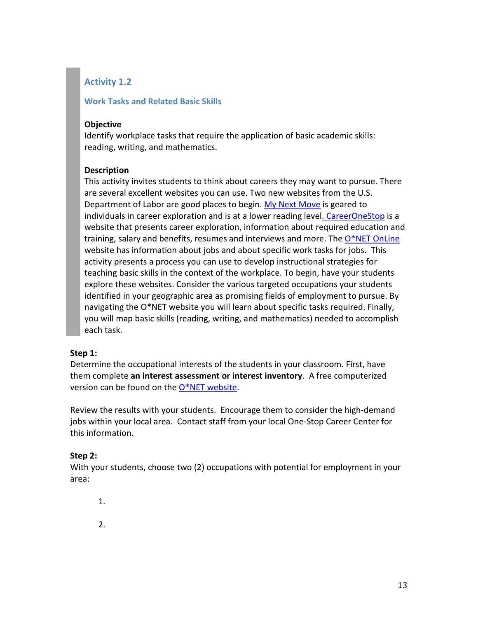# **Activity 1.2**

### **Work Tasks and Related Basic Skills**

#### **Objective**

Identify workplace tasks that require the application of basic academic skills: reading, writing, and mathematics.

### **Description**

This activity invites students to think about careers they may want to pursue. There are several excellent websites you can use. Two new websites from the U.S. Department of Labor are good places to begin. [My Next Move](http://www.mynextmove.org/) is geared to individuals in career exploration and is at a lower reading leve[l. CareerOneStop](http://www.careeronestop.org/defaultB.aspx) is a website that presents career exploration, information about required education and training, salary and benefits, resumes and interviews and more. Th[e O\\*NET OnLine](http://www.onetcenter.org/IP.html) website has information about jobs and about specific work tasks for jobs. This activity presents a process you can use to develop instructional strategies for teaching basic skills in the context of the workplace. To begin, have your students explore these websites. Consider the various targeted occupations your students identified in your geographic area as promising fields of employment to pursue. By navigating the O\*NET website you will learn about specific tasks required. Finally, you will map basic skills (reading, writing, and mathematics) needed to accomplish each task.

### **Step 1:**

Determine the occupational interests of the students in your classroom. First, have them complete **an interest assessment or interest inventory**. A free computerized version can be found on the  $O*NET$  website.

Review the results with your students. Encourage them to consider the high-demand jobs within your local area. Contact staff from your local One-Stop Career Center for this information.

### **Step 2:**

With your students, choose two (2) occupations with potential for employment in your area:

- 1.
- 2.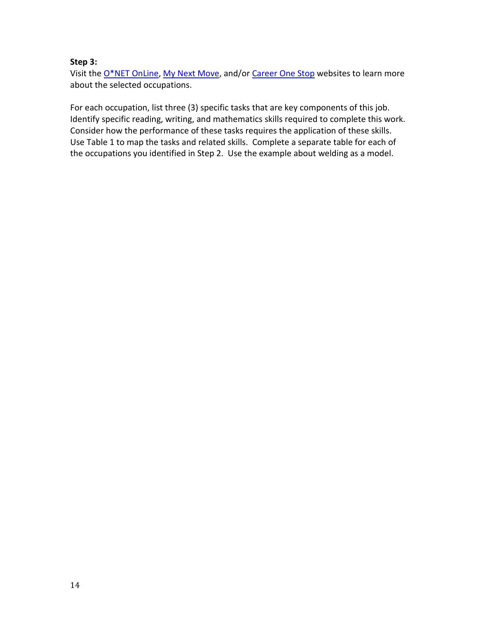### **Step 3:**

Visit th[e O\\*NET OnLine,](http://online.onetcenter.org/) [My Next Move,](http://www.mynextmove.org/) and/or [Career One Stop](http://www.careeronestop.org/defaultB.aspx) websites to learn more about the selected occupations.

For each occupation, list three (3) specific tasks that are key components of this job. Identify specific reading, writing, and mathematics skills required to complete this work. Consider how the performance of these tasks requires the application of these skills. Use Table 1 to map the tasks and related skills. Complete a separate table for each of the occupations you identified in Step 2. Use the example about welding as a model.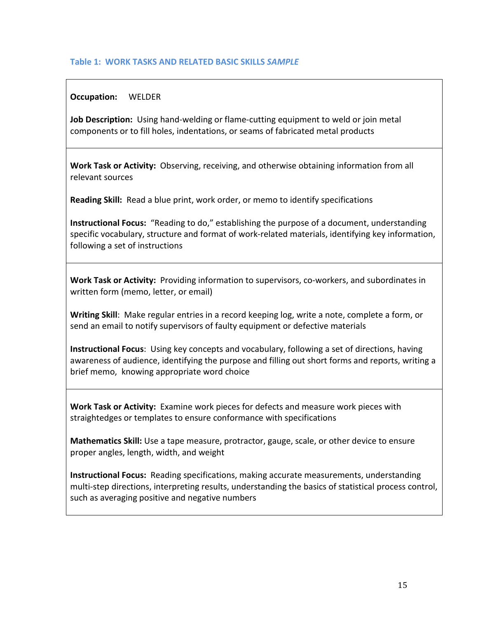### **Table 1: WORK TASKS AND RELATED BASIC SKILLS** *SAMPLE*

### **Occupation:** WELDER

**Job Description:** Using hand-welding or flame-cutting equipment to weld or join metal components or to fill holes, indentations, or seams of fabricated metal products

**Work Task or Activity:** Observing, receiving, and otherwise obtaining information from all relevant sources

**Reading Skill:** Read a blue print, work order, or memo to identify specifications

**Instructional Focus:** "Reading to do," establishing the purpose of a document, understanding specific vocabulary, structure and format of work-related materials, identifying key information, following a set of instructions

**Work Task or Activity:** Providing information to supervisors, co-workers, and subordinates in written form (memo, letter, or email)

**Writing Skill**: Make regular entries in a record keeping log, write a note, complete a form, or send an email to notify supervisors of faulty equipment or defective materials

**Instructional Focus**: Using key concepts and vocabulary, following a set of directions, having awareness of audience, identifying the purpose and filling out short forms and reports, writing a brief memo, knowing appropriate word choice

**Work Task or Activity:** Examine work pieces for defects and measure work pieces with straightedges or templates to ensure conformance with specifications

**Mathematics Skill:** Use a tape measure, protractor, gauge, scale, or other device to ensure proper angles, length, width, and weight

**Instructional Focus:** Reading specifications, making accurate measurements, understanding multi-step directions, interpreting results, understanding the basics of statistical process control, such as averaging positive and negative numbers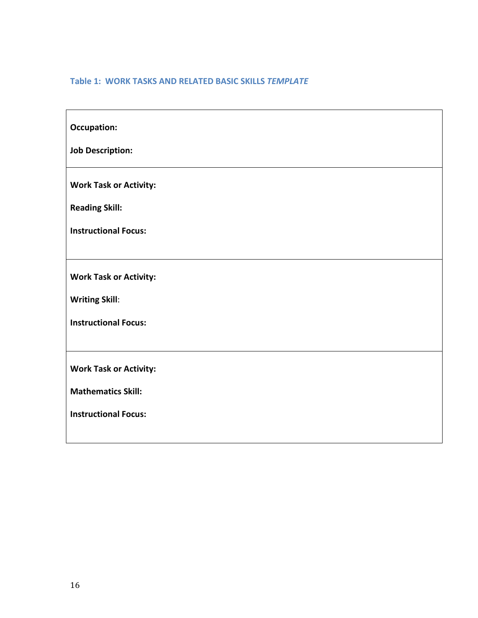# **Table 1: WORK TASKS AND RELATED BASIC SKILLS** *TEMPLATE*

| <b>Occupation:</b>            |
|-------------------------------|
| <b>Job Description:</b>       |
| <b>Work Task or Activity:</b> |
| <b>Reading Skill:</b>         |
| <b>Instructional Focus:</b>   |
|                               |
| <b>Work Task or Activity:</b> |
| <b>Writing Skill:</b>         |
| <b>Instructional Focus:</b>   |
|                               |
| <b>Work Task or Activity:</b> |
| <b>Mathematics Skill:</b>     |
| <b>Instructional Focus:</b>   |
|                               |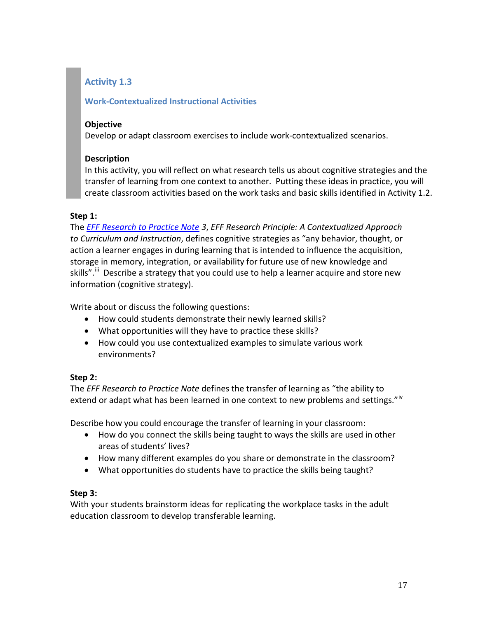# **Activity 1.3**

# **Work-Contextualized Instructional Activities**

### **Objective**

Develop or adapt classroom exercises to include work-contextualized scenarios.

# **Description**

In this activity, you will reflect on what research tells us about cognitive strategies and the transfer of learning from one context to another. Putting these ideas in practice, you will create classroom activities based on the work tasks and basic skills identified in Activity 1.2.

# **Step 1:**

The *[EFF Research to Practice Note](http://www.edpubs.gov/document/ed001934w.pdf) 3*, *EFF Research Principle: A Contextualized Approach to Curriculum and Instruction*, defines cognitive strategies as "any behavior, thought, or action a learner engages in during learning that is intended to influence the acquisition, storage in memory, integration, or availability for future use of new knowledge and skills".<sup>[iii](#page-75-2)</sup> Describe a strategy that you could use to help a learner acquire and store new information (cognitive strategy).

Write about or discuss the following questions:

- How could students demonstrate their newly learned skills?
- What opportunities will they have to practice these skills?
- How could you use contextualized examples to simulate various work environments?

# **Step 2:**

The *EFF Research to Practice Note* defines the transfer of learning as "the ability to extend or adapt what has been learned in one context to new problems and settings."<sup>[iv](#page-75-3)</sup>

Describe how you could encourage the transfer of learning in your classroom:

- How do you connect the skills being taught to ways the skills are used in other areas of students' lives?
- How many different examples do you share or demonstrate in the classroom?
- What opportunities do students have to practice the skills being taught?

# **Step 3:**

With your students brainstorm ideas for replicating the workplace tasks in the adult education classroom to develop transferable learning.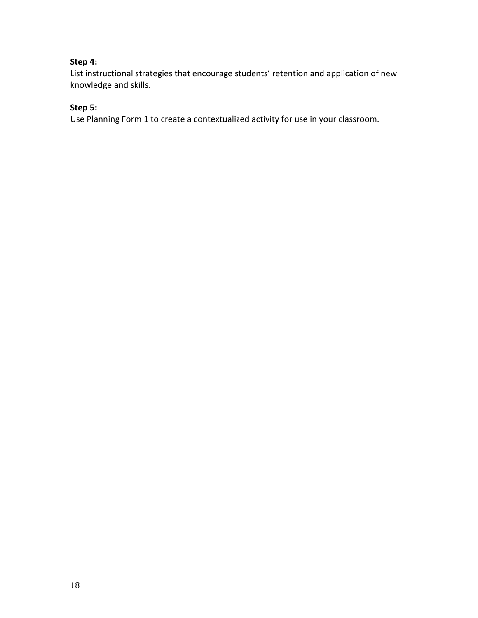# **Step 4:**

List instructional strategies that encourage students' retention and application of new knowledge and skills.

# **Step 5:**

Use Planning Form 1 to create a contextualized activity for use in your classroom.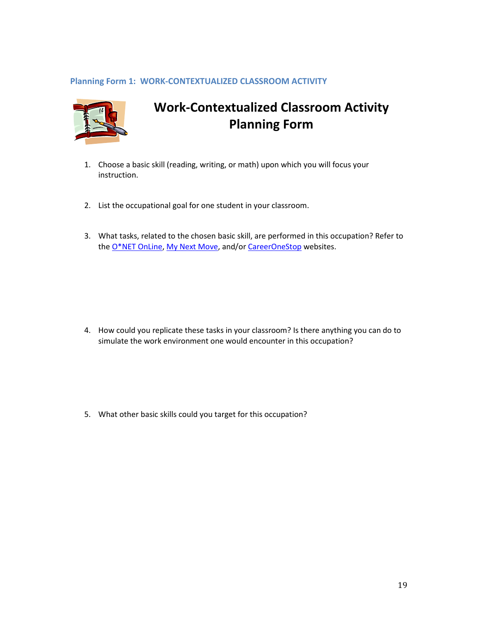### **Planning Form 1: WORK-CONTEXTUALIZED CLASSROOM ACTIVITY**



# **Work-Contextualized Classroom Activity Planning Form**

- 1. Choose a basic skill (reading, writing, or math) upon which you will focus your instruction.
- 2. List the occupational goal for one student in your classroom.
- 3. What tasks, related to the chosen basic skill, are performed in this occupation? Refer to the [O\\*NET OnLine,](http://www.onetonline.org/) [My Next Move,](http://www.mynextmove.org/) and/o[r CareerOneStop](http://www.careeronestop.org/defaultB.aspx) websites.

4. How could you replicate these tasks in your classroom? Is there anything you can do to simulate the work environment one would encounter in this occupation?

5. What other basic skills could you target for this occupation?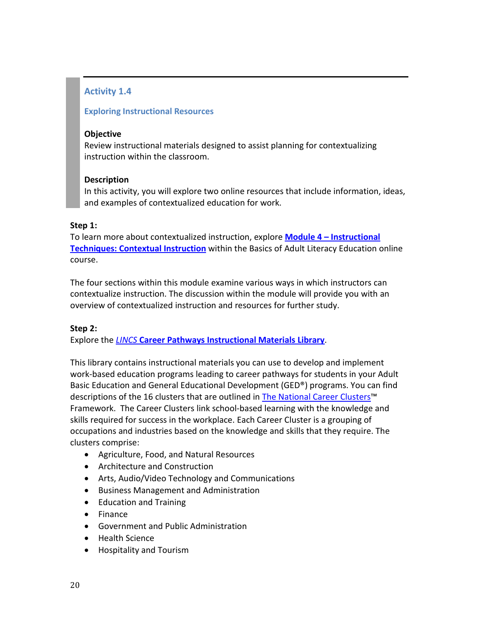# **Activity 1.4**

# **Exploring Instructional Resources**

### **Objective**

Review instructional materials designed to assist planning for contextualizing instruction within the classroom.

### **Description**

In this activity, you will explore two online resources that include information, ideas, and examples of contextualized education for work.

### **Step 1:**

To learn more about contextualized instruction, explore **Module 4 – [Instructional](http://www.c-pal.net/course/module4/m4_functional_skills.html)  [Techniques: Contextual Instruction](http://www.c-pal.net/course/module4/m4_functional_skills.html)** within the Basics of Adult Literacy Education online course.

The four sections within this module examine various ways in which instructors can contextualize instruction. The discussion within the module will provide you with an overview of contextualized instruction and resources for further study.

# **Step 2:**

Explore the *LINCS* **[Career Pathways Instructional Materials Library](http://lincs.ed.gov/pd/careerpathways)**.

This library contains instructional materials you can use to develop and implement work-based education programs leading to career pathways for students in your Adult Basic Education and General Educational Development (GED®) programs. You can find descriptions of the 16 clusters that are outlined i[n The National Career Clusters™](http://www.careertech.org/career-clusters/glance/clusters.html) Framework. The Career Clusters link school-based learning with the knowledge and skills required for success in the workplace. Each Career Cluster is a grouping of occupations and industries based on the knowledge and skills that they require. The clusters comprise:

- Agriculture, Food, and Natural Resources
- Architecture and Construction
- Arts, Audio/Video Technology and Communications
- Business Management and Administration
- Education and Training
- Finance
- Government and Public Administration
- Health Science
- Hospitality and Tourism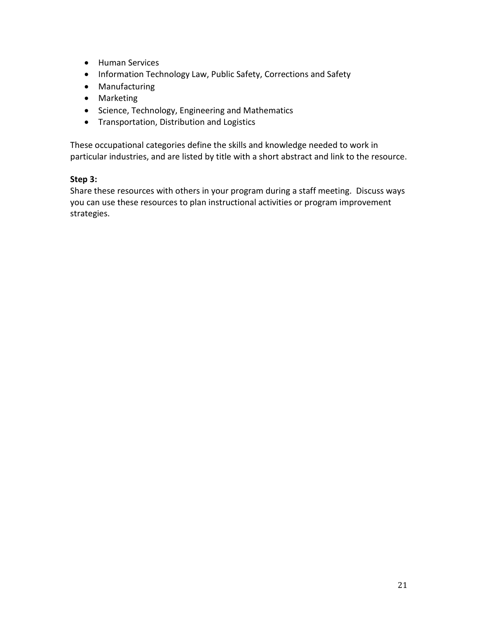- Human Services
- Information Technology Law, Public Safety, Corrections and Safety
- Manufacturing
- Marketing
- Science, Technology, Engineering and Mathematics
- Transportation, Distribution and Logistics

These occupational categories define the skills and knowledge needed to work in particular industries, and are listed by title with a short abstract and link to the resource.

# **Step 3:**

Share these resources with others in your program during a staff meeting. Discuss ways you can use these resources to plan instructional activities or program improvement strategies.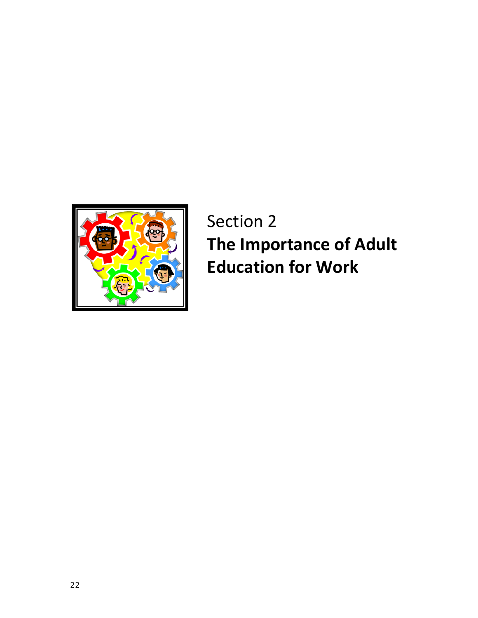

# Section 2 **The Importance of Adult Education for Work**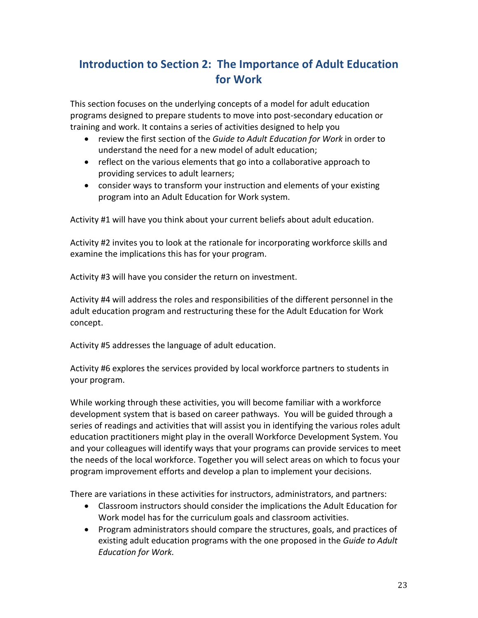# **Introduction to Section 2: The Importance of Adult Education for Work**

This section focuses on the underlying concepts of a model for adult education programs designed to prepare students to move into post-secondary education or training and work. It contains a series of activities designed to help you

- review the first section of the *Guide to Adult Education for Work* in order to understand the need for a new model of adult education;
- reflect on the various elements that go into a collaborative approach to providing services to adult learners;
- consider ways to transform your instruction and elements of your existing program into an Adult Education for Work system.

Activity #1 will have you think about your current beliefs about adult education.

Activity #2 invites you to look at the rationale for incorporating workforce skills and examine the implications this has for your program.

Activity #3 will have you consider the return on investment.

Activity #4 will address the roles and responsibilities of the different personnel in the adult education program and restructuring these for the Adult Education for Work concept.

Activity #5 addresses the language of adult education.

Activity #6 explores the services provided by local workforce partners to students in your program.

While working through these activities, you will become familiar with a workforce development system that is based on career pathways. You will be guided through a series of readings and activities that will assist you in identifying the various roles adult education practitioners might play in the overall Workforce Development System. You and your colleagues will identify ways that your programs can provide services to meet the needs of the local workforce. Together you will select areas on which to focus your program improvement efforts and develop a plan to implement your decisions.

There are variations in these activities for instructors, administrators, and partners:

- Classroom instructors should consider the implications the Adult Education for Work model has for the curriculum goals and classroom activities.
- Program administrators should compare the structures, goals, and practices of existing adult education programs with the one proposed in the *Guide to Adult Education for Work.*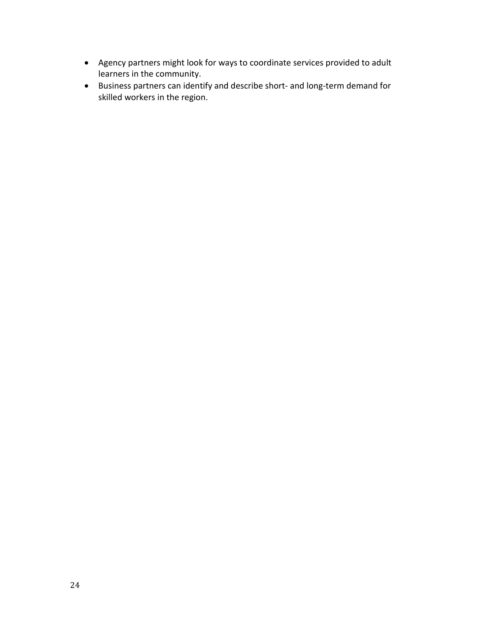- Agency partners might look for ways to coordinate services provided to adult learners in the community.
- Business partners can identify and describe short- and long-term demand for skilled workers in the region.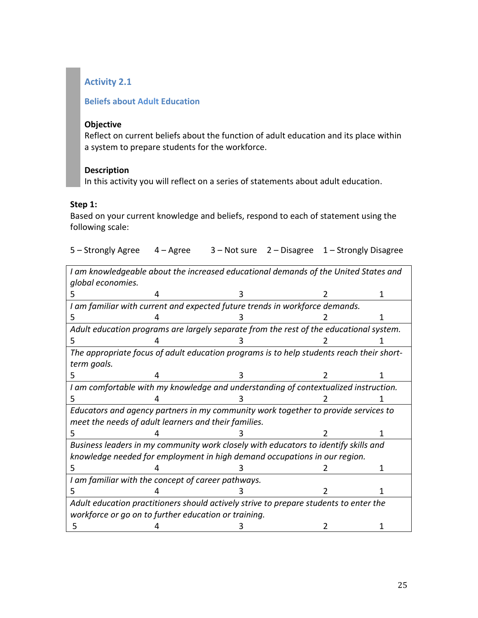# **Activity 2.1**

### **Beliefs about Adult Education**

#### **Objective**

Reflect on current beliefs about the function of adult education and its place within a system to prepare students for the workforce.

### **Description**

In this activity you will reflect on a series of statements about adult education.

### **Step 1:**

Based on your current knowledge and beliefs, respond to each of statement using the following scale:

| 5 – Strongly Agree 4 – Agree |  | 3 – Not sure 2 – Disagree 1 – Strongly Disagree |
|------------------------------|--|-------------------------------------------------|
|                              |  |                                                 |

*I am knowledgeable about the increased educational demands of the United States and global economies.*

| 5                                                                                     |                                                                                          |  |  |  |
|---------------------------------------------------------------------------------------|------------------------------------------------------------------------------------------|--|--|--|
| I am familiar with current and expected future trends in workforce demands.           |                                                                                          |  |  |  |
| 5                                                                                     |                                                                                          |  |  |  |
|                                                                                       | Adult education programs are largely separate from the rest of the educational system.   |  |  |  |
| 5                                                                                     |                                                                                          |  |  |  |
|                                                                                       | The appropriate focus of adult education programs is to help students reach their short- |  |  |  |
| term goals.                                                                           |                                                                                          |  |  |  |
| 5                                                                                     |                                                                                          |  |  |  |
| I am comfortable with my knowledge and understanding of contextualized instruction.   |                                                                                          |  |  |  |
| 5                                                                                     |                                                                                          |  |  |  |
| Educators and agency partners in my community work together to provide services to    |                                                                                          |  |  |  |
| meet the needs of adult learners and their families.                                  |                                                                                          |  |  |  |
| 5                                                                                     |                                                                                          |  |  |  |
|                                                                                       | Business leaders in my community work closely with educators to identify skills and      |  |  |  |
|                                                                                       | knowledge needed for employment in high demand occupations in our region.                |  |  |  |
| 5                                                                                     |                                                                                          |  |  |  |
| I am familiar with the concept of career pathways.                                    |                                                                                          |  |  |  |
| 5                                                                                     |                                                                                          |  |  |  |
| Adult education practitioners should actively strive to prepare students to enter the |                                                                                          |  |  |  |
| workforce or go on to further education or training.                                  |                                                                                          |  |  |  |
| ר                                                                                     |                                                                                          |  |  |  |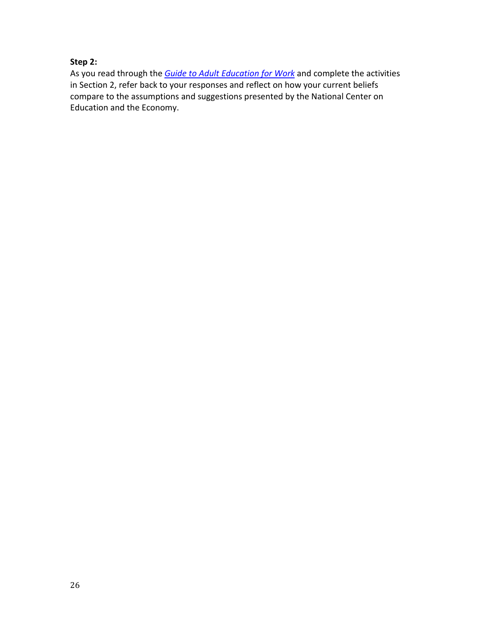# **Step 2:**

As you read through the *[Guide to Adult Education for Work](http://www.ncee.org/wp-content/uploads/2010/09/adult_ed_work_guide.pdf)* and complete the activities in Section 2, refer back to your responses and reflect on how your current beliefs compare to the assumptions and suggestions presented by the National Center on Education and the Economy.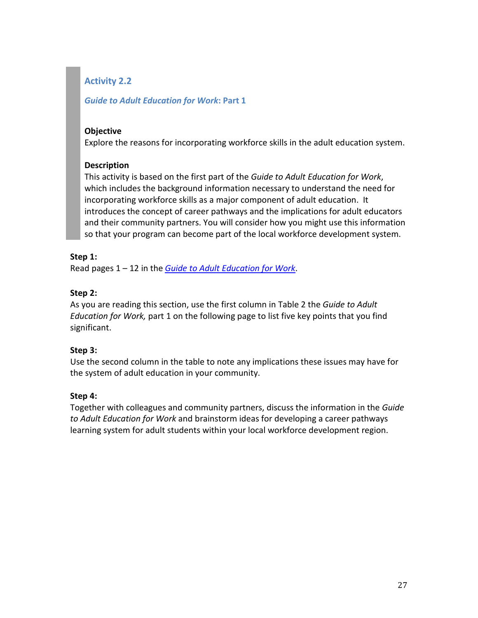# **Activity 2.2**

# *Guide to Adult Education for Work***: Part 1**

### **Objective**

Explore the reasons for incorporating workforce skills in the adult education system.

# **Description**

This activity is based on the first part of the *Guide to Adult Education for Work*, which includes the background information necessary to understand the need for incorporating workforce skills as a major component of adult education. It introduces the concept of career pathways and the implications for adult educators and their community partners. You will consider how you might use this information so that your program can become part of the local workforce development system.

# **Step 1:**

Read pages 1 – 12 in the *[Guide to Adult Education for Work](http://www.ncee.org/wp-content/uploads/2010/09/adult_ed_work_guide.pdf)*.

# **Step 2:**

As you are reading this section, use the first column in Table 2 the *Guide to Adult Education for Work,* part 1 on the following page to list five key points that you find significant.

# **Step 3:**

Use the second column in the table to note any implications these issues may have for the system of adult education in your community.

# **Step 4:**

Together with colleagues and community partners, discuss the information in the *Guide to Adult Education for Work* and brainstorm ideas for developing a career pathways learning system for adult students within your local workforce development region.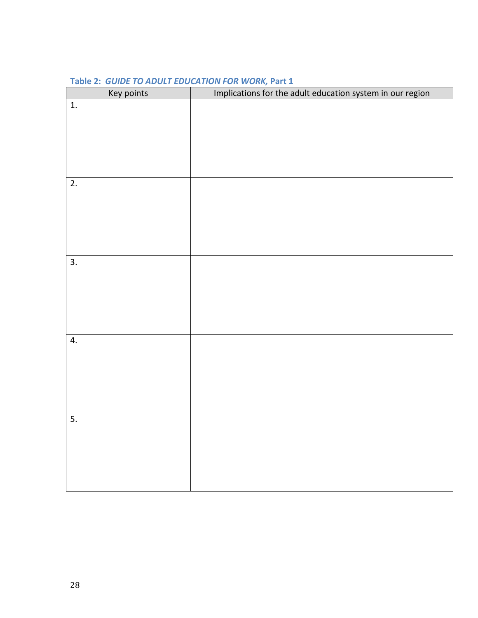| Key points       | Implications for the adult education system in our region |
|------------------|-----------------------------------------------------------|
| $\overline{1}$ . |                                                           |
|                  |                                                           |
|                  |                                                           |
|                  |                                                           |
|                  |                                                           |
|                  |                                                           |
| $\overline{2}$ . |                                                           |
|                  |                                                           |
|                  |                                                           |
|                  |                                                           |
|                  |                                                           |
|                  |                                                           |
| $\overline{3}$ . |                                                           |
|                  |                                                           |
|                  |                                                           |
|                  |                                                           |
|                  |                                                           |
|                  |                                                           |
| 4.               |                                                           |
|                  |                                                           |
|                  |                                                           |
|                  |                                                           |
|                  |                                                           |
|                  |                                                           |
|                  |                                                           |
| $\overline{5}$ . |                                                           |
|                  |                                                           |
|                  |                                                           |
|                  |                                                           |
|                  |                                                           |
|                  |                                                           |

### **Table 2:** *GUIDE TO ADULT EDUCATION FOR WORK,* **Part 1**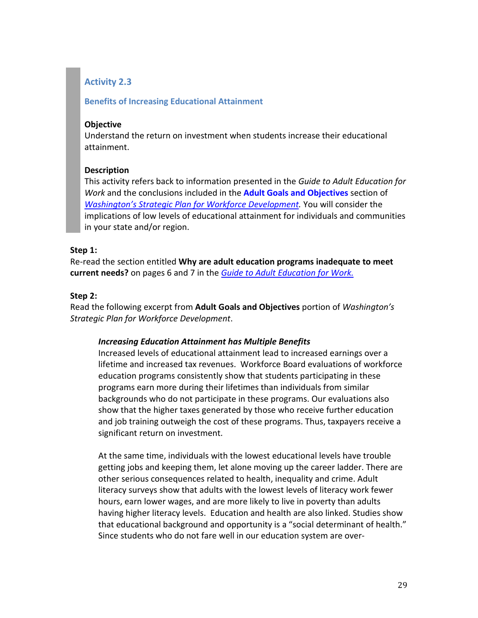# **Activity 2.3**

### **Benefits of Increasing Educational Attainment**

### **Objective**

Understand the return on investment when students increase their educational attainment.

### **Description**

This activity refers back to information presented in the *Guide to Adult Education for Work* and the conclusions included in the **[Adult Goals and Objectives](http://www.wtb.wa.gov/Documents/HSHW2008Adult.pdf)** section of *[Washington's Strategic Plan for Workforce Development.](http://www.wtb.wa.gov/Documents/HSHW2008Adult.pdf)* You will consider the implications of low levels of educational attainment for individuals and communities in your state and/or region.

### **Step 1:**

Re-read the section entitled **Why are adult education programs inadequate to meet current needs?** on pages 6 and 7 in the *[Guide to Adult Education for Work.](http://www.ncee.org/wp-content/uploads/2010/09/adult_ed_work_guide.pdf)*

### **Step 2:**

Read the following excerpt from **Adult Goals and Objectives** portion of *Washington's Strategic Plan for Workforce Development*.

### *Increasing Education Attainment has Multiple Benefits*

Increased levels of educational attainment lead to increased earnings over a lifetime and increased tax revenues. Workforce Board evaluations of workforce education programs consistently show that students participating in these programs earn more during their lifetimes than individuals from similar backgrounds who do not participate in these programs. Our evaluations also show that the higher taxes generated by those who receive further education and job training outweigh the cost of these programs. Thus, taxpayers receive a significant return on investment.

At the same time, individuals with the lowest educational levels have trouble getting jobs and keeping them, let alone moving up the career ladder. There are other serious consequences related to health, inequality and crime. Adult literacy surveys show that adults with the lowest levels of literacy work fewer hours, earn lower wages, and are more likely to live in poverty than adults having higher literacy levels. Education and health are also linked. Studies show that educational background and opportunity is a "social determinant of health." Since students who do not fare well in our education system are over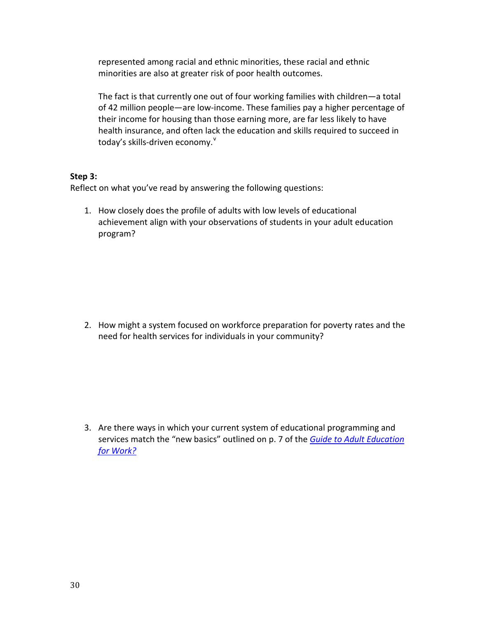represented among racial and ethnic minorities, these racial and ethnic minorities are also at greater risk of poor health outcomes.

The fact is that currently one out of four working families with children—a total of 42 million people—are low-income. These families pay a higher percentage of their income for housing than those earning more, are far less likely to have health insurance, and often lack the education and skills required to succeed in today's skills-dri[v](#page-75-4)en economy. $^{\mathsf{v}}$ 

#### **Step 3:**

Reflect on what you've read by answering the following questions:

1. How closely does the profile of adults with low levels of educational achievement align with your observations of students in your adult education program?

2. How might a system focused on workforce preparation for poverty rates and the need for health services for individuals in your community?

3. Are there ways in which your current system of educational programming and services match the "new basics" outlined on p. 7 of the *[Guide to Adult Education](http://www.ncee.org/wp-content/uploads/2010/09/adult_ed_work_guide.pdf)  [for Work?](http://www.ncee.org/wp-content/uploads/2010/09/adult_ed_work_guide.pdf)*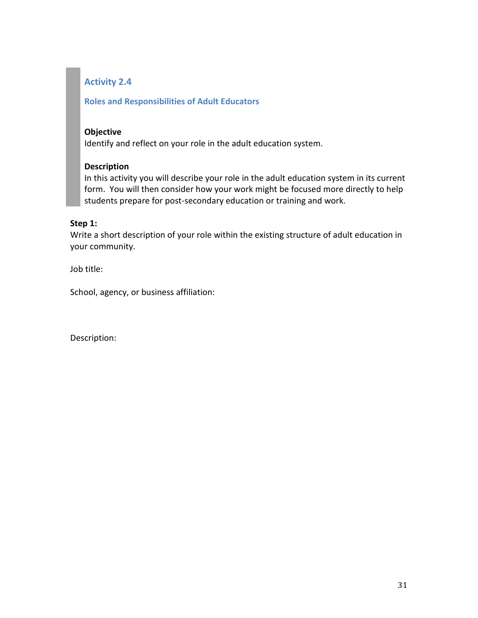# **Activity 2.4**

### **Roles and Responsibilities of Adult Educators**

### **Objective**

Identify and reflect on your role in the adult education system.

### **Description**

In this activity you will describe your role in the adult education system in its current form. You will then consider how your work might be focused more directly to help students prepare for post-secondary education or training and work.

### **Step 1:**

Write a short description of your role within the existing structure of adult education in your community.

Job title:

School, agency, or business affiliation:

Description: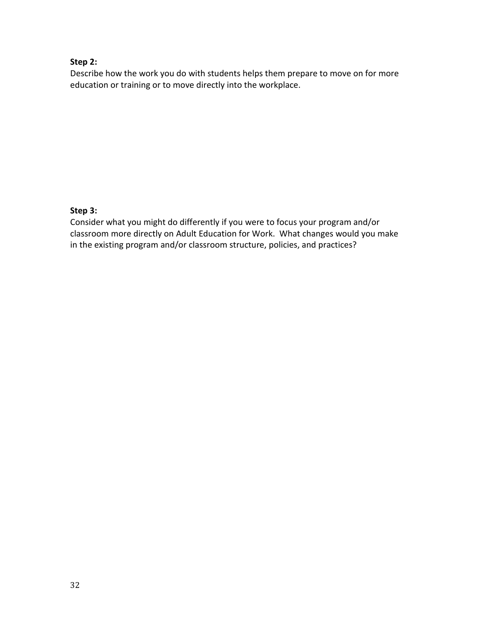### **Step 2:**

Describe how the work you do with students helps them prepare to move on for more education or training or to move directly into the workplace.

# **Step 3:**

Consider what you might do differently if you were to focus your program and/or classroom more directly on Adult Education for Work. What changes would you make in the existing program and/or classroom structure, policies, and practices?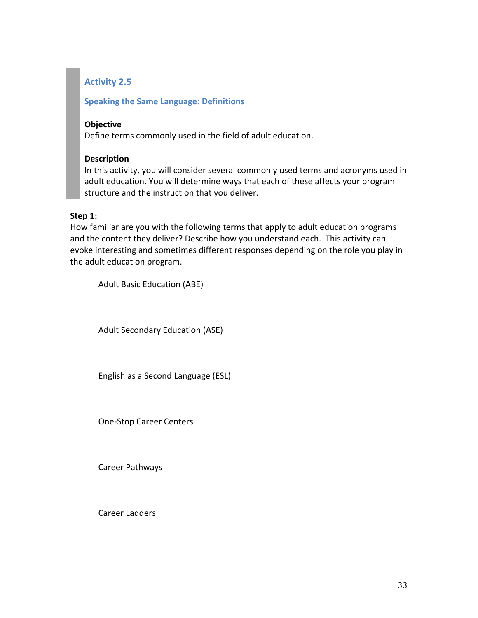# **Activity 2.5**

### **Speaking the Same Language: Definitions**

### **Objective**

Define terms commonly used in the field of adult education.

### **Description**

In this activity, you will consider several commonly used terms and acronyms used in adult education. You will determine ways that each of these affects your program structure and the instruction that you deliver.

### **Step 1:**

How familiar are you with the following terms that apply to adult education programs and the content they deliver? Describe how you understand each. This activity can evoke interesting and sometimes different responses depending on the role you play in the adult education program.

Adult Basic Education (ABE)

Adult Secondary Education (ASE)

English as a Second Language (ESL)

One-Stop Career Centers

Career Pathways

Career Ladders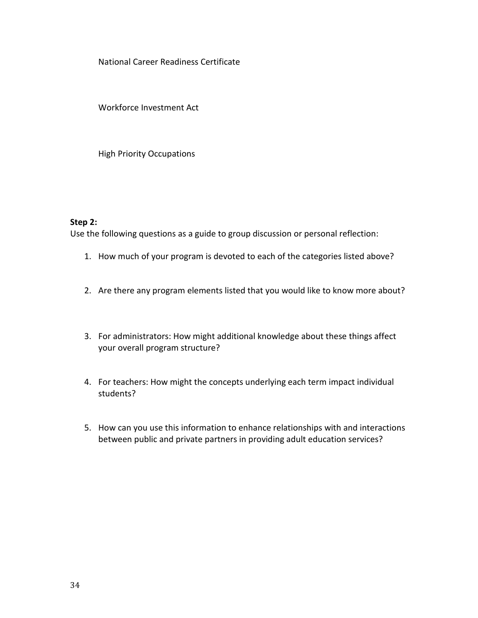National Career Readiness Certificate

Workforce Investment Act

High Priority Occupations

#### **Step 2:**

Use the following questions as a guide to group discussion or personal reflection:

- 1. How much of your program is devoted to each of the categories listed above?
- 2. Are there any program elements listed that you would like to know more about?
- 3. For administrators: How might additional knowledge about these things affect your overall program structure?
- 4. For teachers: How might the concepts underlying each term impact individual students?
- 5. How can you use this information to enhance relationships with and interactions between public and private partners in providing adult education services?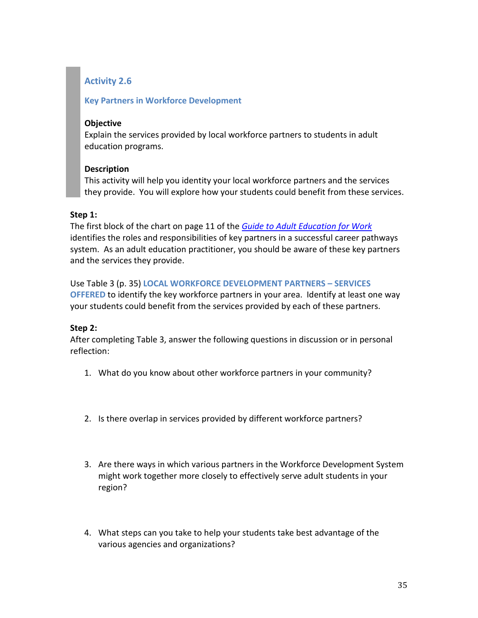# **Activity 2.6**

# **Key Partners in Workforce Development**

### **Objective**

Explain the services provided by local workforce partners to students in adult education programs.

# **Description**

This activity will help you identity your local workforce partners and the services they provide. You will explore how your students could benefit from these services.

# **Step 1:**

The first block of the chart on page 11 of the *[Guide to Adult Education for Work](http://www.ncee.org/wp-content/uploads/2010/09/adult_ed_work_guide.pdf)* identifies the roles and responsibilities of key partners in a successful career pathways system. As an adult education practitioner, you should be aware of these key partners and the services they provide.

# Use Table 3 (p. 35) **LOCAL WORKFORCE DEVELOPMENT PARTNERS – SERVICES**

**OFFERED** to identify the key workforce partners in your area. Identify at least one way your students could benefit from the services provided by each of these partners.

# **Step 2:**

After completing Table 3, answer the following questions in discussion or in personal reflection:

- 1. What do you know about other workforce partners in your community?
- 2. Is there overlap in services provided by different workforce partners?
- 3. Are there ways in which various partners in the Workforce Development System might work together more closely to effectively serve adult students in your region?
- 4. What steps can you take to help your students take best advantage of the various agencies and organizations?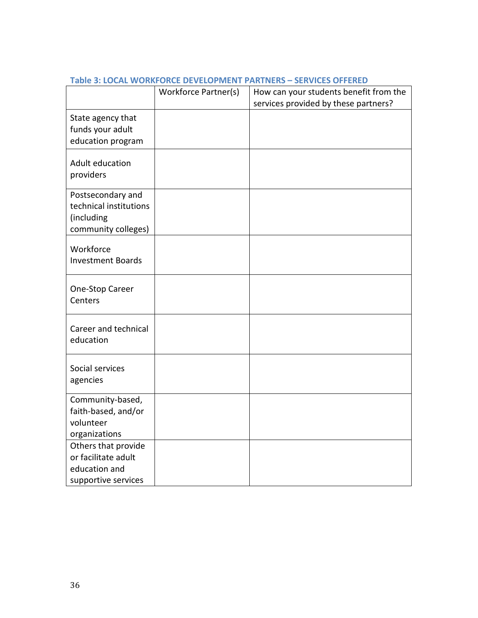|                                       | Workforce Partner(s) | How can your students benefit from the |
|---------------------------------------|----------------------|----------------------------------------|
|                                       |                      | services provided by these partners?   |
| State agency that                     |                      |                                        |
| funds your adult                      |                      |                                        |
| education program                     |                      |                                        |
|                                       |                      |                                        |
| Adult education                       |                      |                                        |
| providers                             |                      |                                        |
| Postsecondary and                     |                      |                                        |
| technical institutions                |                      |                                        |
| (including                            |                      |                                        |
| community colleges)                   |                      |                                        |
|                                       |                      |                                        |
| Workforce<br><b>Investment Boards</b> |                      |                                        |
|                                       |                      |                                        |
|                                       |                      |                                        |
| One-Stop Career<br>Centers            |                      |                                        |
|                                       |                      |                                        |
| Career and technical                  |                      |                                        |
| education                             |                      |                                        |
|                                       |                      |                                        |
| Social services                       |                      |                                        |
|                                       |                      |                                        |
| agencies                              |                      |                                        |
| Community-based,                      |                      |                                        |
| faith-based, and/or                   |                      |                                        |
| volunteer                             |                      |                                        |
| organizations                         |                      |                                        |
| Others that provide                   |                      |                                        |
| or facilitate adult                   |                      |                                        |
| education and                         |                      |                                        |
| supportive services                   |                      |                                        |

#### **Table 3: LOCAL WORKFORCE DEVELOPMENT PARTNERS – SERVICES OFFERED**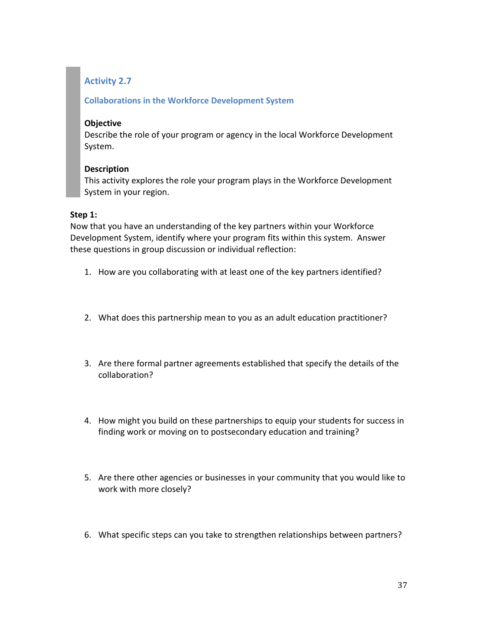#### **Collaborations in the Workforce Development System**

#### **Objective**

Describe the role of your program or agency in the local Workforce Development System.

#### **Description**

This activity explores the role your program plays in the Workforce Development System in your region.

#### **Step 1:**

Now that you have an understanding of the key partners within your Workforce Development System, identify where your program fits within this system. Answer these questions in group discussion or individual reflection:

- 1. How are you collaborating with at least one of the key partners identified?
- 2. What does this partnership mean to you as an adult education practitioner?
- 3. Are there formal partner agreements established that specify the details of the collaboration?
- 4. How might you build on these partnerships to equip your students for success in finding work or moving on to postsecondary education and training?
- 5. Are there other agencies or businesses in your community that you would like to work with more closely?
- 6. What specific steps can you take to strengthen relationships between partners?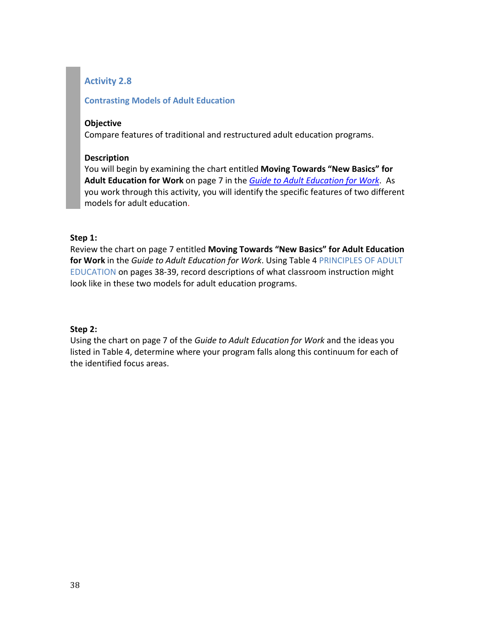#### **Contrasting Models of Adult Education**

#### **Objective**

Compare features of traditional and restructured adult education programs.

#### **Description**

You will begin by examining the chart entitled **Moving Towards "New Basics" for Adult Education for Work** on page 7 in the *[Guide to Adult Education for Work](http://www.ncee.org/wp-content/uploads/2010/09/adult_ed_work_guide.pdf)*. As you work through this activity, you will identify the specific features of two different models for adult education.

#### **Step 1:**

Review the chart on page 7 entitled **Moving Towards "New Basics" for Adult Education for Work** in the *Guide to Adult Education for Work*. Using Table 4 PRINCIPLES OF ADULT EDUCATION on pages 38-39, record descriptions of what classroom instruction might look like in these two models for adult education programs.

#### **Step 2:**

Using the chart on page 7 of the *Guide to Adult Education for Work* and the ideas you listed in Table 4, determine where your program falls along this continuum for each of the identified focus areas.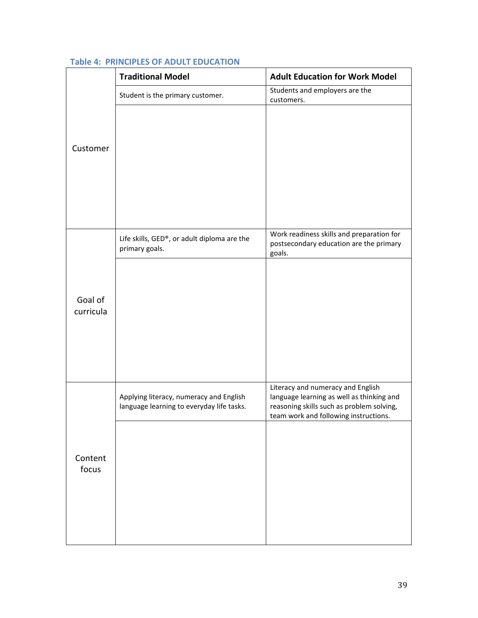|                      | <b>Traditional Model</b>                                                             | <b>Adult Education for Work Model</b>                                                                                                                                |
|----------------------|--------------------------------------------------------------------------------------|----------------------------------------------------------------------------------------------------------------------------------------------------------------------|
|                      | Student is the primary customer.                                                     | Students and employers are the<br>customers.                                                                                                                         |
| Customer             |                                                                                      |                                                                                                                                                                      |
|                      | Life skills, GED®, or adult diploma are the<br>primary goals.                        | Work readiness skills and preparation for<br>postsecondary education are the primary<br>goals.                                                                       |
| Goal of<br>curricula |                                                                                      |                                                                                                                                                                      |
|                      | Applying literacy, numeracy and English<br>language learning to everyday life tasks. | Literacy and numeracy and English<br>language learning as well as thinking and<br>reasoning skills such as problem solving,<br>team work and following instructions. |
| Content<br>focus     |                                                                                      |                                                                                                                                                                      |

## **Table 4: PRINCIPLES OF ADULT EDUCATION**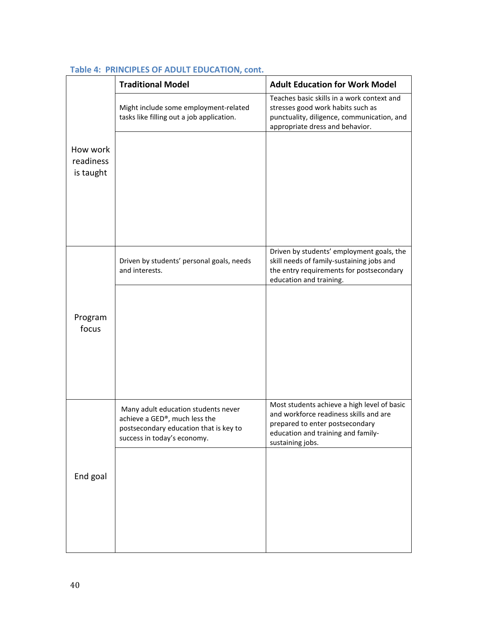|                                    | <b>Traditional Model</b>                                                                                                                      | <b>Adult Education for Work Model</b>                                                                                                                                              |
|------------------------------------|-----------------------------------------------------------------------------------------------------------------------------------------------|------------------------------------------------------------------------------------------------------------------------------------------------------------------------------------|
|                                    | Might include some employment-related<br>tasks like filling out a job application.                                                            | Teaches basic skills in a work context and<br>stresses good work habits such as<br>punctuality, diligence, communication, and<br>appropriate dress and behavior.                   |
| How work<br>readiness<br>is taught |                                                                                                                                               |                                                                                                                                                                                    |
|                                    | Driven by students' personal goals, needs<br>and interests.                                                                                   | Driven by students' employment goals, the<br>skill needs of family-sustaining jobs and<br>the entry requirements for postsecondary<br>education and training.                      |
| Program<br>focus                   |                                                                                                                                               |                                                                                                                                                                                    |
|                                    | Many adult education students never<br>achieve a GED®, much less the<br>postsecondary education that is key to<br>success in today's economy. | Most students achieve a high level of basic<br>and workforce readiness skills and are<br>prepared to enter postsecondary<br>education and training and family-<br>sustaining jobs. |
| End goal                           |                                                                                                                                               |                                                                                                                                                                                    |

## **Table 4: PRINCIPLES OF ADULT EDUCATION, cont.**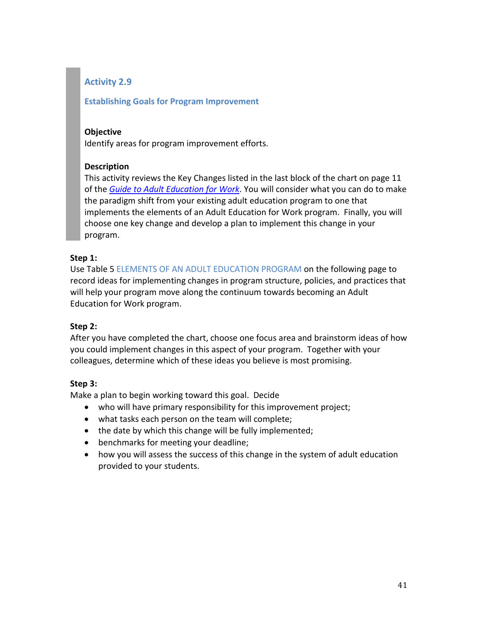#### **Establishing Goals for Program Improvement**

#### **Objective**

Identify areas for program improvement efforts.

## **Description**

This activity reviews the Key Changes listed in the last block of the chart on page 11 of the *[Guide to Adult Education for Work](http://www.ncee.org/wp-content/uploads/2010/09/adult_ed_work_guide.pdf)*. You will consider what you can do to make the paradigm shift from your existing adult education program to one that implements the elements of an Adult Education for Work program. Finally, you will choose one key change and develop a plan to implement this change in your program.

#### **Step 1:**

Use Table 5 ELEMENTS OF AN ADULT EDUCATION PROGRAM on the following page to record ideas for implementing changes in program structure, policies, and practices that will help your program move along the continuum towards becoming an Adult Education for Work program.

## **Step 2:**

After you have completed the chart, choose one focus area and brainstorm ideas of how you could implement changes in this aspect of your program. Together with your colleagues, determine which of these ideas you believe is most promising.

## **Step 3:**

Make a plan to begin working toward this goal. Decide

- who will have primary responsibility for this improvement project;
- what tasks each person on the team will complete;
- the date by which this change will be fully implemented;
- benchmarks for meeting your deadline;
- how you will assess the success of this change in the system of adult education provided to your students.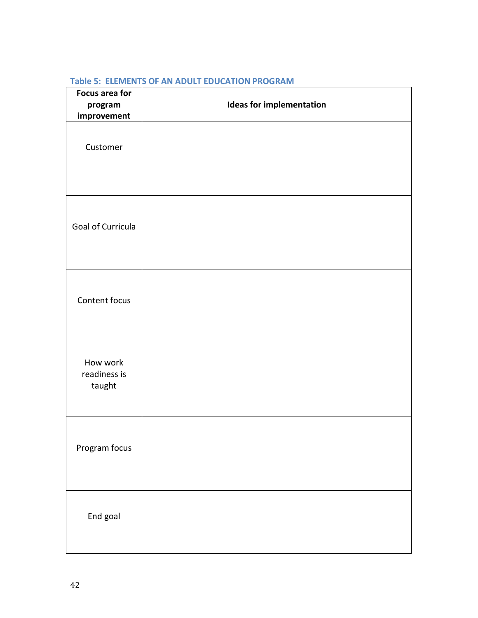| <b>Focus area for</b><br>program<br>improvement | <b>Ideas for implementation</b> |
|-------------------------------------------------|---------------------------------|
| Customer                                        |                                 |
| Goal of Curricula                               |                                 |
| Content focus                                   |                                 |
| How work<br>readiness is<br>taught              |                                 |
| Program focus                                   |                                 |
| End goal                                        |                                 |

#### **Table 5: ELEMENTS OF AN ADULT EDUCATION PROGRAM**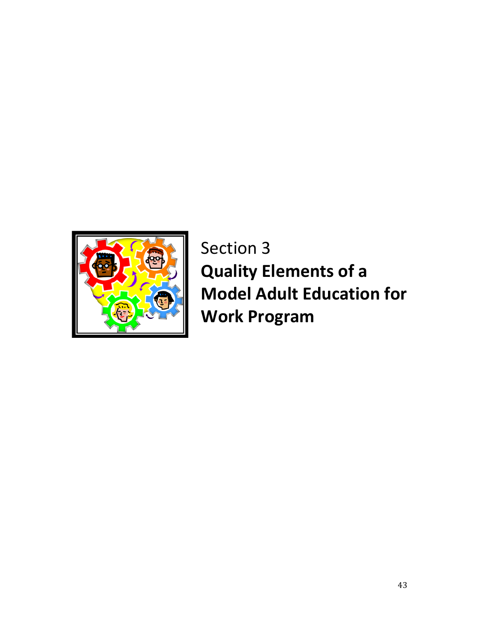

Section 3 **Quality Elements of a Model Adult Education for Work Program**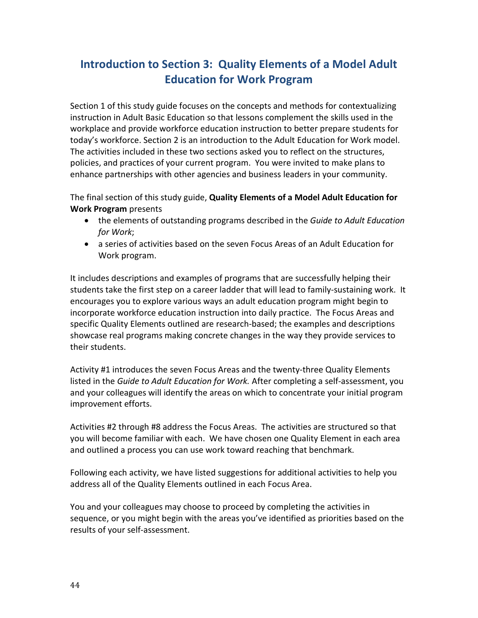# **Introduction to Section 3: Quality Elements of a Model Adult Education for Work Program**

Section 1 of this study guide focuses on the concepts and methods for contextualizing instruction in Adult Basic Education so that lessons complement the skills used in the workplace and provide workforce education instruction to better prepare students for today's workforce. Section 2 is an introduction to the Adult Education for Work model. The activities included in these two sections asked you to reflect on the structures, policies, and practices of your current program. You were invited to make plans to enhance partnerships with other agencies and business leaders in your community.

The final section of this study guide, **Quality Elements of a Model Adult Education for Work Program** presents

- the elements of outstanding programs described in the *Guide to Adult Education for Work*;
- a series of activities based on the seven Focus Areas of an Adult Education for Work program.

It includes descriptions and examples of programs that are successfully helping their students take the first step on a career ladder that will lead to family-sustaining work. It encourages you to explore various ways an adult education program might begin to incorporate workforce education instruction into daily practice. The Focus Areas and specific Quality Elements outlined are research-based; the examples and descriptions showcase real programs making concrete changes in the way they provide services to their students.

Activity #1 introduces the seven Focus Areas and the twenty-three Quality Elements listed in the *Guide to Adult Education for Work.* After completing a self-assessment, you and your colleagues will identify the areas on which to concentrate your initial program improvement efforts.

Activities #2 through #8 address the Focus Areas. The activities are structured so that you will become familiar with each. We have chosen one Quality Element in each area and outlined a process you can use work toward reaching that benchmark.

Following each activity, we have listed suggestions for additional activities to help you address all of the Quality Elements outlined in each Focus Area.

You and your colleagues may choose to proceed by completing the activities in sequence, or you might begin with the areas you've identified as priorities based on the results of your self-assessment.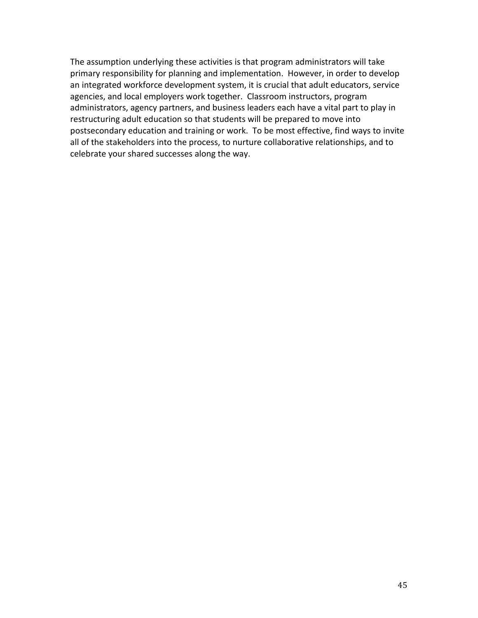The assumption underlying these activities is that program administrators will take primary responsibility for planning and implementation. However, in order to develop an integrated workforce development system, it is crucial that adult educators, service agencies, and local employers work together. Classroom instructors, program administrators, agency partners, and business leaders each have a vital part to play in restructuring adult education so that students will be prepared to move into postsecondary education and training or work. To be most effective, find ways to invite all of the stakeholders into the process, to nurture collaborative relationships, and to celebrate your shared successes along the way.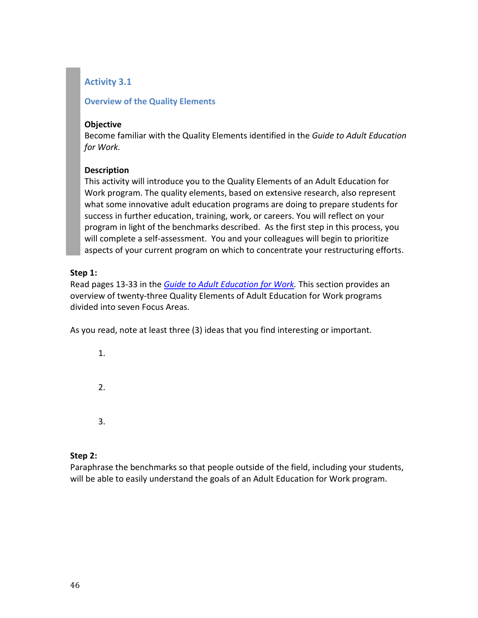#### **Overview of the Quality Elements**

#### **Objective**

Become familiar with the Quality Elements identified in the *Guide to Adult Education for Work.*

#### **Description**

This activity will introduce you to the Quality Elements of an Adult Education for Work program. The quality elements, based on extensive research, also represent what some innovative adult education programs are doing to prepare students for success in further education, training, work, or careers. You will reflect on your program in light of the benchmarks described. As the first step in this process, you will complete a self-assessment. You and your colleagues will begin to prioritize aspects of your current program on which to concentrate your restructuring efforts.

#### **Step 1:**

Read pages 13-33 in the *[Guide to Adult Education for](http://www.ncee.org/wp-content/uploads/2010/09/adult_ed_work_guide.pdf) Work.* This section provides an overview of twenty-three Quality Elements of Adult Education for Work programs divided into seven Focus Areas.

As you read, note at least three (3) ideas that you find interesting or important.

1. 2. 3.

#### **Step 2:**

Paraphrase the benchmarks so that people outside of the field, including your students, will be able to easily understand the goals of an Adult Education for Work program.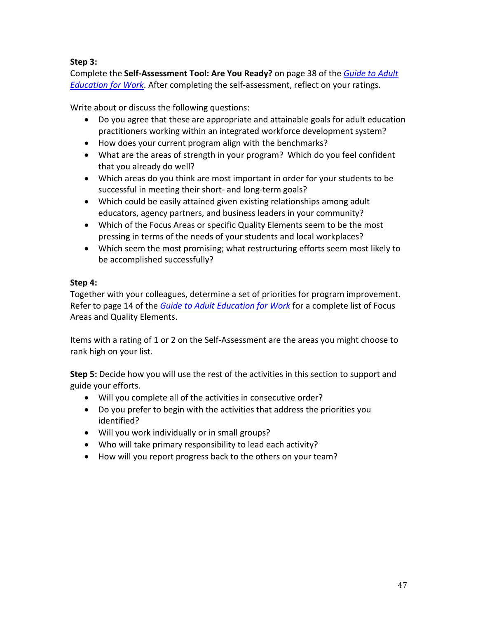## **Step 3:**

Complete the **Self-Assessment Tool: Are You Ready?** on page 38 of the *[Guide to Adult](http://www.ncee.org/wp-content/uploads/2010/09/adult_ed_work_guide.pdf)  [Education for Work](http://www.ncee.org/wp-content/uploads/2010/09/adult_ed_work_guide.pdf)*. After completing the self-assessment, reflect on your ratings.

Write about or discuss the following questions:

- Do you agree that these are appropriate and attainable goals for adult education practitioners working within an integrated workforce development system?
- How does your current program align with the benchmarks?
- What are the areas of strength in your program? Which do you feel confident that you already do well?
- Which areas do you think are most important in order for your students to be successful in meeting their short- and long-term goals?
- Which could be easily attained given existing relationships among adult educators, agency partners, and business leaders in your community?
- Which of the Focus Areas or specific Quality Elements seem to be the most pressing in terms of the needs of your students and local workplaces?
- Which seem the most promising; what restructuring efforts seem most likely to be accomplished successfully?

## **Step 4:**

Together with your colleagues, determine a set of priorities for program improvement. Refer to page 14 of the *[Guide to Adult Education for Work](http://www.ncee.org/wp-content/uploads/2010/09/adult_ed_work_guide.pdf)* for a complete list of Focus Areas and Quality Elements.

Items with a rating of 1 or 2 on the Self-Assessment are the areas you might choose to rank high on your list.

**Step 5:** Decide how you will use the rest of the activities in this section to support and guide your efforts.

- Will you complete all of the activities in consecutive order?
- Do you prefer to begin with the activities that address the priorities you identified?
- Will you work individually or in small groups?
- Who will take primary responsibility to lead each activity?
- How will you report progress back to the others on your team?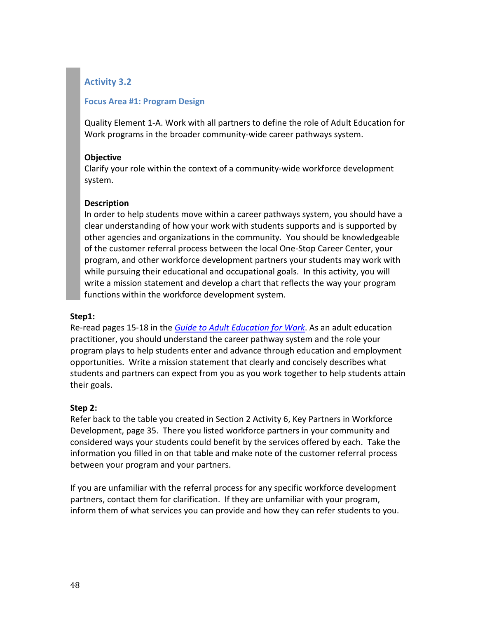#### **Focus Area #1: Program Design**

Quality Element 1-A. Work with all partners to define the role of Adult Education for Work programs in the broader community-wide career pathways system.

#### **Objective**

Clarify your role within the context of a community-wide workforce development system.

#### **Description**

In order to help students move within a career pathways system, you should have a clear understanding of how your work with students supports and is supported by other agencies and organizations in the community. You should be knowledgeable of the customer referral process between the local One-Stop Career Center, your program, and other workforce development partners your students may work with while pursuing their educational and occupational goals. In this activity, you will write a mission statement and develop a chart that reflects the way your program functions within the workforce development system.

#### **Step1:**

Re-read pages 15-18 in the *[Guide to Adult Education for Work](http://www.jff.org/sites/default/files/adult_ed_work_guide.pdf)*. As an adult education practitioner, you should understand the career pathway system and the role your program plays to help students enter and advance through education and employment opportunities. Write a mission statement that clearly and concisely describes what students and partners can expect from you as you work together to help students attain their goals.

## **Step 2:**

Refer back to the table you created in Section 2 Activity 6, Key Partners in Workforce Development, page 35. There you listed workforce partners in your community and considered ways your students could benefit by the services offered by each. Take the information you filled in on that table and make note of the customer referral process between your program and your partners.

If you are unfamiliar with the referral process for any specific workforce development partners, contact them for clarification. If they are unfamiliar with your program, inform them of what services you can provide and how they can refer students to you.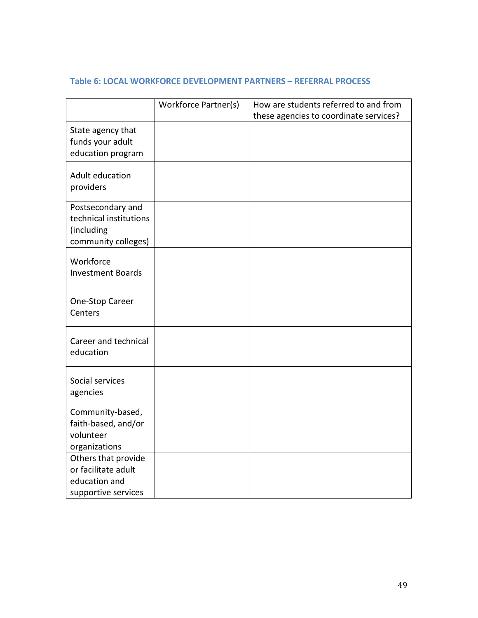## **Table 6: LOCAL WORKFORCE DEVELOPMENT PARTNERS – REFERRAL PROCESS**

|                                                                                    | Workforce Partner(s) | How are students referred to and from  |
|------------------------------------------------------------------------------------|----------------------|----------------------------------------|
|                                                                                    |                      | these agencies to coordinate services? |
| State agency that<br>funds your adult<br>education program                         |                      |                                        |
| Adult education<br>providers                                                       |                      |                                        |
| Postsecondary and<br>technical institutions<br>(including<br>community colleges)   |                      |                                        |
| Workforce<br><b>Investment Boards</b>                                              |                      |                                        |
| One-Stop Career<br>Centers                                                         |                      |                                        |
| Career and technical<br>education                                                  |                      |                                        |
| Social services<br>agencies                                                        |                      |                                        |
| Community-based,<br>faith-based, and/or<br>volunteer<br>organizations              |                      |                                        |
| Others that provide<br>or facilitate adult<br>education and<br>supportive services |                      |                                        |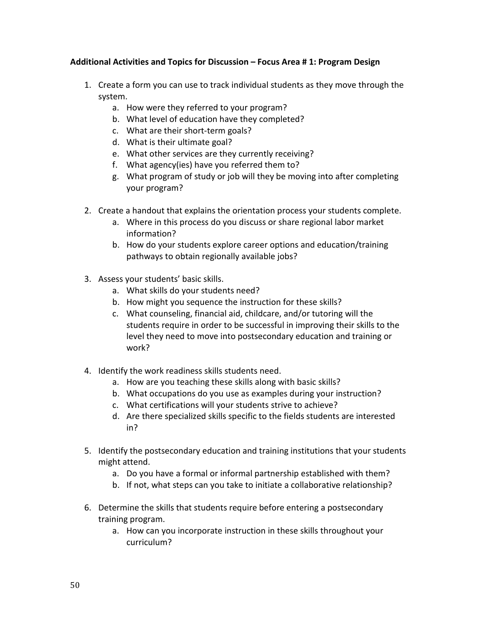#### **Additional Activities and Topics for Discussion – Focus Area # 1: Program Design**

- 1. Create a form you can use to track individual students as they move through the system.
	- a. How were they referred to your program?
	- b. What level of education have they completed?
	- c. What are their short-term goals?
	- d. What is their ultimate goal?
	- e. What other services are they currently receiving?
	- f. What agency(ies) have you referred them to?
	- g. What program of study or job will they be moving into after completing your program?
- 2. Create a handout that explains the orientation process your students complete.
	- a. Where in this process do you discuss or share regional labor market information?
	- b. How do your students explore career options and education/training pathways to obtain regionally available jobs?
- 3. Assess your students' basic skills.
	- a. What skills do your students need?
	- b. How might you sequence the instruction for these skills?
	- c. What counseling, financial aid, childcare, and/or tutoring will the students require in order to be successful in improving their skills to the level they need to move into postsecondary education and training or work?
- 4. Identify the work readiness skills students need.
	- a. How are you teaching these skills along with basic skills?
	- b. What occupations do you use as examples during your instruction?
	- c. What certifications will your students strive to achieve?
	- d. Are there specialized skills specific to the fields students are interested in?
- 5. Identify the postsecondary education and training institutions that your students might attend.
	- a. Do you have a formal or informal partnership established with them?
	- b. If not, what steps can you take to initiate a collaborative relationship?
- 6. Determine the skills that students require before entering a postsecondary training program.
	- a. How can you incorporate instruction in these skills throughout your curriculum?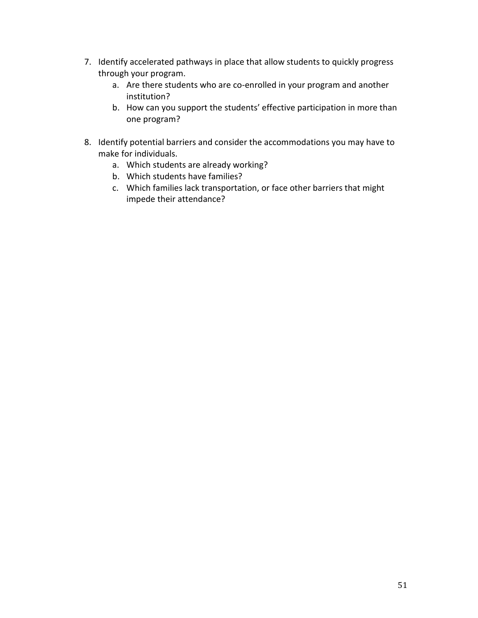- 7. Identify accelerated pathways in place that allow students to quickly progress through your program.
	- a. Are there students who are co-enrolled in your program and another institution?
	- b. How can you support the students' effective participation in more than one program?
- 8. Identify potential barriers and consider the accommodations you may have to make for individuals.
	- a. Which students are already working?
	- b. Which students have families?
	- c. Which families lack transportation, or face other barriers that might impede their attendance?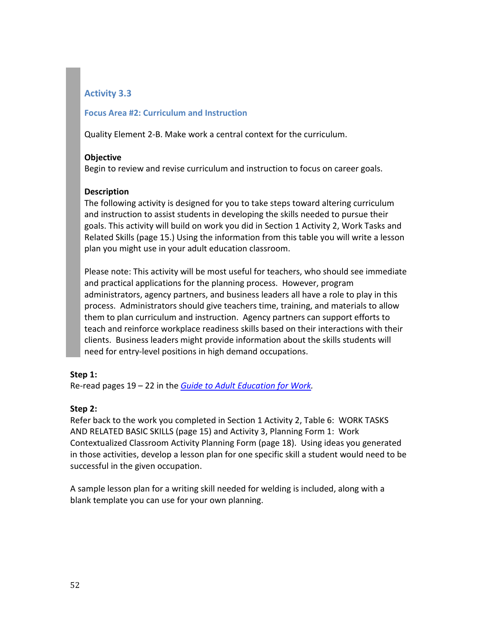#### **Focus Area #2: Curriculum and Instruction**

Quality Element 2-B. Make work a central context for the curriculum.

#### **Objective**

Begin to review and revise curriculum and instruction to focus on career goals.

## **Description**

The following activity is designed for you to take steps toward altering curriculum and instruction to assist students in developing the skills needed to pursue their goals. This activity will build on work you did in Section 1 Activity 2, Work Tasks and Related Skills (page 15.) Using the information from this table you will write a lesson plan you might use in your adult education classroom.

Please note: This activity will be most useful for teachers, who should see immediate and practical applications for the planning process. However, program administrators, agency partners, and business leaders all have a role to play in this process. Administrators should give teachers time, training, and materials to allow them to plan curriculum and instruction. Agency partners can support efforts to teach and reinforce workplace readiness skills based on their interactions with their clients. Business leaders might provide information about the skills students will need for entry-level positions in high demand occupations.

## **Step 1:**

Re-read pages 19 – 22 in the *[Guide to Adult Education for Work.](http://www.jff.org/sites/default/files/adult_ed_work_guide.pdf)*

## **Step 2:**

Refer back to the work you completed in Section 1 Activity 2, Table 6: WORK TASKS AND RELATED BASIC SKILLS (page 15) and Activity 3, Planning Form 1: Work Contextualized Classroom Activity Planning Form (page 18). Using ideas you generated in those activities, develop a lesson plan for one specific skill a student would need to be successful in the given occupation.

A sample lesson plan for a writing skill needed for welding is included, along with a blank template you can use for your own planning.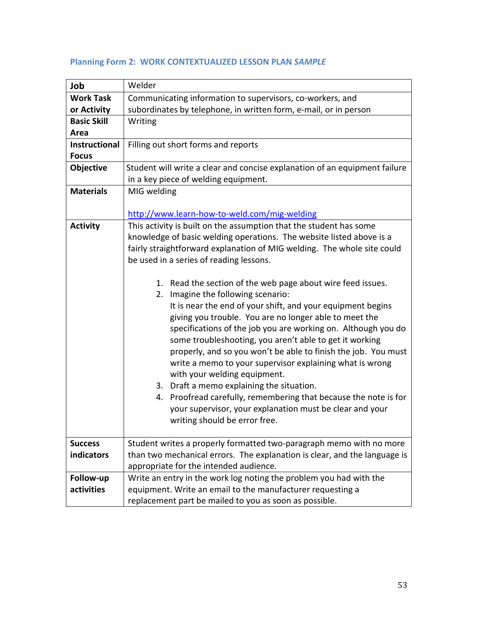| Job                  | Welder                                                                     |  |
|----------------------|----------------------------------------------------------------------------|--|
| <b>Work Task</b>     | Communicating information to supervisors, co-workers, and                  |  |
| or Activity          | subordinates by telephone, in written form, e-mail, or in person           |  |
| <b>Basic Skill</b>   | Writing                                                                    |  |
| Area                 |                                                                            |  |
| <b>Instructional</b> | Filling out short forms and reports                                        |  |
| <b>Focus</b>         |                                                                            |  |
| Objective            | Student will write a clear and concise explanation of an equipment failure |  |
|                      | in a key piece of welding equipment.                                       |  |
| <b>Materials</b>     | MIG welding                                                                |  |
|                      |                                                                            |  |
|                      | http://www.learn-how-to-weld.com/mig-welding                               |  |
| <b>Activity</b>      | This activity is built on the assumption that the student has some         |  |
|                      | knowledge of basic welding operations. The website listed above is a       |  |
|                      | fairly straightforward explanation of MIG welding. The whole site could    |  |
|                      | be used in a series of reading lessons.                                    |  |
|                      |                                                                            |  |
|                      | 1. Read the section of the web page about wire feed issues.                |  |
|                      | Imagine the following scenario:<br>2.                                      |  |
|                      | It is near the end of your shift, and your equipment begins                |  |
|                      | giving you trouble. You are no longer able to meet the                     |  |
|                      | specifications of the job you are working on. Although you do              |  |
|                      | some troubleshooting, you aren't able to get it working                    |  |
|                      | properly, and so you won't be able to finish the job. You must             |  |
|                      | write a memo to your supervisor explaining what is wrong                   |  |
|                      | with your welding equipment.                                               |  |
|                      | 3. Draft a memo explaining the situation.                                  |  |
|                      | 4. Proofread carefully, remembering that because the note is for           |  |
|                      | your supervisor, your explanation must be clear and your                   |  |
|                      | writing should be error free.                                              |  |
|                      |                                                                            |  |
| <b>Success</b>       | Student writes a properly formatted two-paragraph memo with no more        |  |
| indicators           | than two mechanical errors. The explanation is clear, and the language is  |  |
|                      | appropriate for the intended audience.                                     |  |
| Follow-up            | Write an entry in the work log noting the problem you had with the         |  |
| activities           | equipment. Write an email to the manufacturer requesting a                 |  |
|                      | replacement part be mailed to you as soon as possible.                     |  |

## **Planning Form 2: WORK CONTEXTUALIZED LESSON PLAN** *SAMPLE*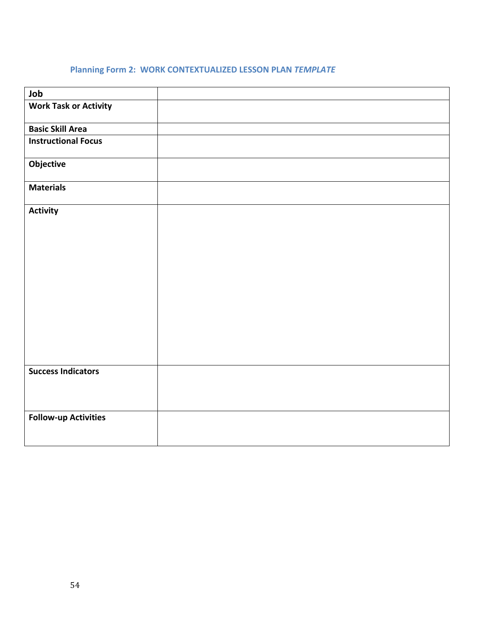## **Planning Form 2: WORK CONTEXTUALIZED LESSON PLAN** *TEMPLATE*

| Job                          |  |
|------------------------------|--|
| <b>Work Task or Activity</b> |  |
| <b>Basic Skill Area</b>      |  |
| <b>Instructional Focus</b>   |  |
| Objective                    |  |
| <b>Materials</b>             |  |
| <b>Activity</b>              |  |
|                              |  |
|                              |  |
|                              |  |
|                              |  |
|                              |  |
|                              |  |
|                              |  |
|                              |  |
| <b>Success Indicators</b>    |  |
|                              |  |
|                              |  |
| <b>Follow-up Activities</b>  |  |
|                              |  |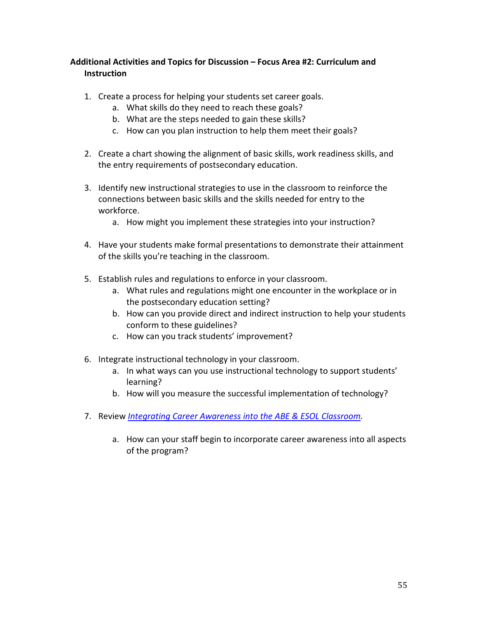## **Additional Activities and Topics for Discussion – Focus Area #2: Curriculum and Instruction**

- 1. Create a process for helping your students set career goals.
	- a. What skills do they need to reach these goals?
	- b. What are the steps needed to gain these skills?
	- c. How can you plan instruction to help them meet their goals?
- 2. Create a chart showing the alignment of basic skills, work readiness skills, and the entry requirements of postsecondary education.
- 3. Identify new instructional strategies to use in the classroom to reinforce the connections between basic skills and the skills needed for entry to the workforce.
	- a. How might you implement these strategies into your instruction?
- 4. Have your students make formal presentations to demonstrate their attainment of the skills you're teaching in the classroom.
- 5. Establish rules and regulations to enforce in your classroom.
	- a. What rules and regulations might one encounter in the workplace or in the postsecondary education setting?
	- b. How can you provide direct and indirect instruction to help your students conform to these guidelines?
	- c. How can you track students' improvement?
- 6. Integrate instructional technology in your classroom.
	- a. In what ways can you use instructional technology to support students' learning?
	- b. How will you measure the successful implementation of technology?
- 7. Review *[Integrating Career Awareness into the ABE & ESOL Classroom.](http://www.collegetransition.org/publications.icacurriculum.html)* 
	- a. How can your staff begin to incorporate career awareness into all aspects of the program?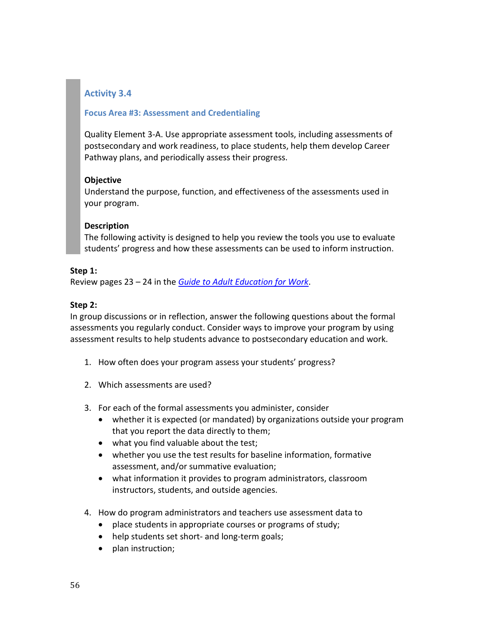#### **Focus Area #3: Assessment and Credentialing**

Quality Element 3-A. Use appropriate assessment tools, including assessments of postsecondary and work readiness, to place students, help them develop Career Pathway plans, and periodically assess their progress.

#### **Objective**

Understand the purpose, function, and effectiveness of the assessments used in your program.

#### **Description**

The following activity is designed to help you review the tools you use to evaluate students' progress and how these assessments can be used to inform instruction.

#### **Step 1:**

Review pages 23 – 24 in the *[Guide to Adult Education for Work](http://www.jff.org/sites/default/files/adult_ed_work_guide.pdf)*.

#### **Step 2:**

In group discussions or in reflection, answer the following questions about the formal assessments you regularly conduct. Consider ways to improve your program by using assessment results to help students advance to postsecondary education and work.

- 1. How often does your program assess your students' progress?
- 2. Which assessments are used?
- 3. For each of the formal assessments you administer, consider
	- whether it is expected (or mandated) by organizations outside your program that you report the data directly to them;
	- what you find valuable about the test;
	- whether you use the test results for baseline information, formative assessment, and/or summative evaluation;
	- what information it provides to program administrators, classroom instructors, students, and outside agencies.
- 4. How do program administrators and teachers use assessment data to
	- place students in appropriate courses or programs of study;
	- help students set short- and long-term goals;
	- plan instruction;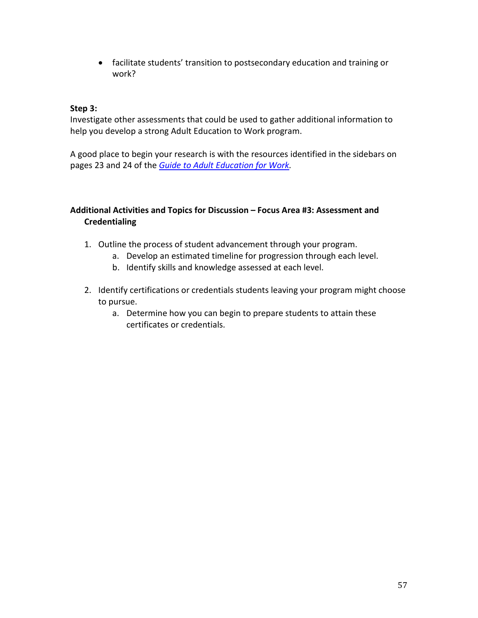• facilitate students' transition to postsecondary education and training or work?

#### **Step 3:**

Investigate other assessments that could be used to gather additional information to help you develop a strong Adult Education to Work program.

A good place to begin your research is with the resources identified in the sidebars on pages 23 and 24 of the *[Guide to Adult Education for Work.](http://www.jff.org/sites/default/files/adult_ed_work_guide.pdf)*

## **Additional Activities and Topics for Discussion – Focus Area #3: Assessment and Credentialing**

- 1. Outline the process of student advancement through your program.
	- a. Develop an estimated timeline for progression through each level.
	- b. Identify skills and knowledge assessed at each level.
- 2. Identify certifications or credentials students leaving your program might choose to pursue.
	- a. Determine how you can begin to prepare students to attain these certificates or credentials.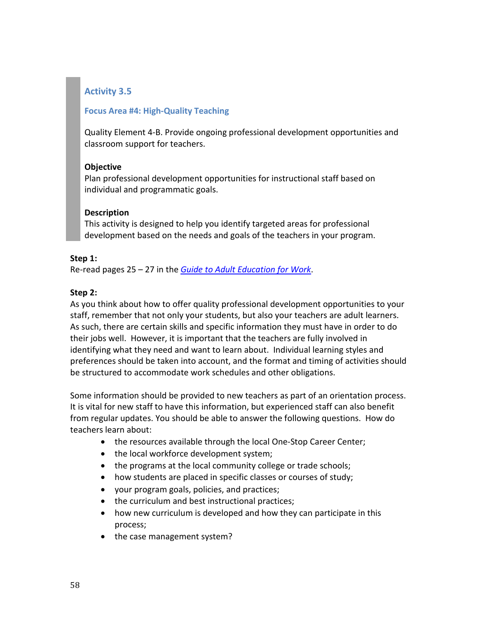## **Focus Area #4: High-Quality Teaching**

Quality Element 4-B. Provide ongoing professional development opportunities and classroom support for teachers.

## **Objective**

Plan professional development opportunities for instructional staff based on individual and programmatic goals.

## **Description**

This activity is designed to help you identify targeted areas for professional development based on the needs and goals of the teachers in your program.

## **Step 1:**

Re-read pages 25 – 27 in the *[Guide to Adult Education for Work](http://www.jff.org/sites/default/files/adult_ed_work_guide.pdf)*.

## **Step 2:**

As you think about how to offer quality professional development opportunities to your staff, remember that not only your students, but also your teachers are adult learners. As such, there are certain skills and specific information they must have in order to do their jobs well. However, it is important that the teachers are fully involved in identifying what they need and want to learn about. Individual learning styles and preferences should be taken into account, and the format and timing of activities should be structured to accommodate work schedules and other obligations.

Some information should be provided to new teachers as part of an orientation process. It is vital for new staff to have this information, but experienced staff can also benefit from regular updates. You should be able to answer the following questions. How do teachers learn about:

- the resources available through the local One-Stop Career Center;
- the local workforce development system;
- the programs at the local community college or trade schools;
- how students are placed in specific classes or courses of study;
- your program goals, policies, and practices;
- the curriculum and best instructional practices;
- how new curriculum is developed and how they can participate in this process;
- the case management system?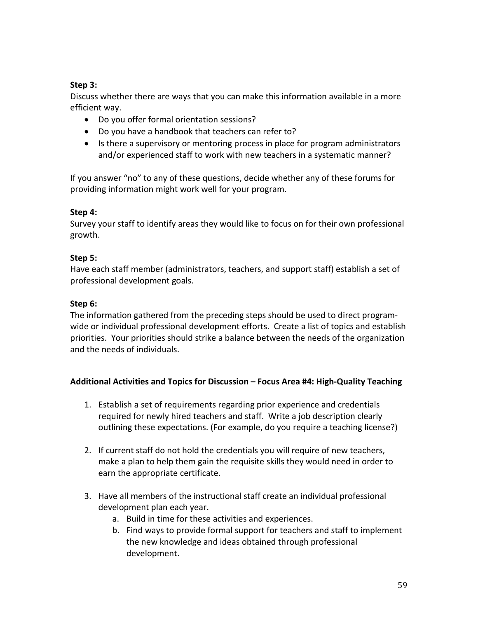## **Step 3:**

Discuss whether there are ways that you can make this information available in a more efficient way.

- Do you offer formal orientation sessions?
- Do you have a handbook that teachers can refer to?
- Is there a supervisory or mentoring process in place for program administrators and/or experienced staff to work with new teachers in a systematic manner?

If you answer "no" to any of these questions, decide whether any of these forums for providing information might work well for your program.

## **Step 4:**

Survey your staff to identify areas they would like to focus on for their own professional growth.

## **Step 5:**

Have each staff member (administrators, teachers, and support staff) establish a set of professional development goals.

## **Step 6:**

The information gathered from the preceding steps should be used to direct programwide or individual professional development efforts. Create a list of topics and establish priorities. Your priorities should strike a balance between the needs of the organization and the needs of individuals.

## **Additional Activities and Topics for Discussion – Focus Area #4: High-Quality Teaching**

- 1. Establish a set of requirements regarding prior experience and credentials required for newly hired teachers and staff. Write a job description clearly outlining these expectations. (For example, do you require a teaching license?)
- 2. If current staff do not hold the credentials you will require of new teachers, make a plan to help them gain the requisite skills they would need in order to earn the appropriate certificate.
- 3. Have all members of the instructional staff create an individual professional development plan each year.
	- a. Build in time for these activities and experiences.
	- b. Find ways to provide formal support for teachers and staff to implement the new knowledge and ideas obtained through professional development.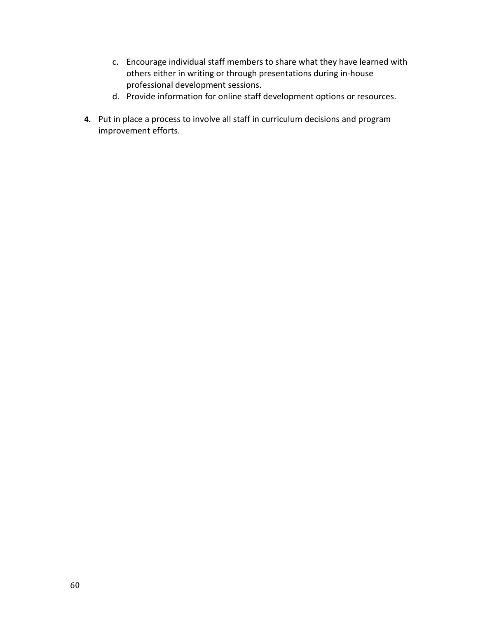- c. Encourage individual staff members to share what they have learned with others either in writing or through presentations during in-house professional development sessions.
- d. Provide information for online staff development options or resources.
- **4.** Put in place a process to involve all staff in curriculum decisions and program improvement efforts.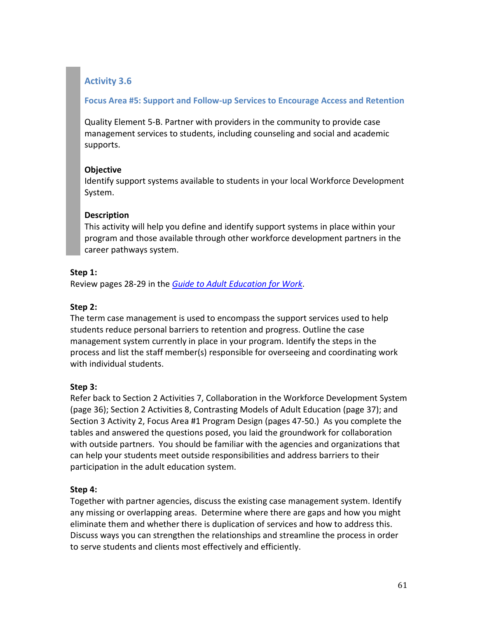#### **Focus Area #5: Support and Follow-up Services to Encourage Access and Retention**

Quality Element 5-B. Partner with providers in the community to provide case management services to students, including counseling and social and academic supports.

#### **Objective**

Identify support systems available to students in your local Workforce Development System.

## **Description**

This activity will help you define and identify support systems in place within your program and those available through other workforce development partners in the career pathways system.

#### **Step 1:**

Review pages 28-29 in the *[Guide to Adult Education for Work](http://www.jff.org/sites/default/files/adult_ed_work_guide.pdf)*.

## **Step 2:**

The term case management is used to encompass the support services used to help students reduce personal barriers to retention and progress. Outline the case management system currently in place in your program. Identify the steps in the process and list the staff member(s) responsible for overseeing and coordinating work with individual students.

## **Step 3:**

Refer back to Section 2 Activities 7, Collaboration in the Workforce Development System (page 36); Section 2 Activities 8, Contrasting Models of Adult Education (page 37); and Section 3 Activity 2, Focus Area #1 Program Design (pages 47-50.) As you complete the tables and answered the questions posed, you laid the groundwork for collaboration with outside partners. You should be familiar with the agencies and organizations that can help your students meet outside responsibilities and address barriers to their participation in the adult education system.

## **Step 4:**

Together with partner agencies, discuss the existing case management system. Identify any missing or overlapping areas. Determine where there are gaps and how you might eliminate them and whether there is duplication of services and how to address this. Discuss ways you can strengthen the relationships and streamline the process in order to serve students and clients most effectively and efficiently.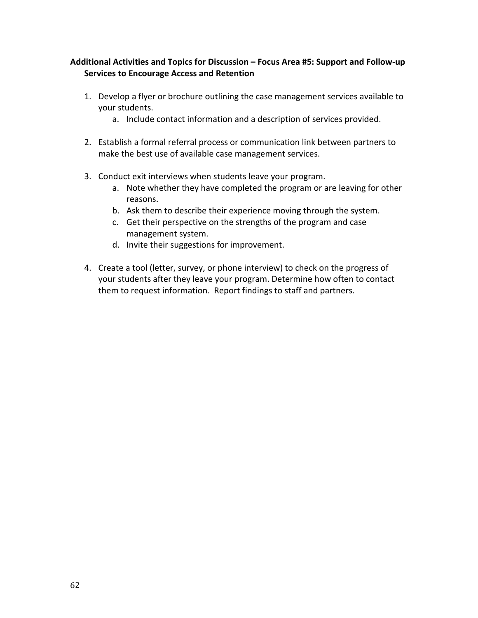## **Additional Activities and Topics for Discussion – Focus Area #5: Support and Follow-up Services to Encourage Access and Retention**

- 1. Develop a flyer or brochure outlining the case management services available to your students.
	- a. Include contact information and a description of services provided.
- 2. Establish a formal referral process or communication link between partners to make the best use of available case management services.
- 3. Conduct exit interviews when students leave your program.
	- a. Note whether they have completed the program or are leaving for other reasons.
	- b. Ask them to describe their experience moving through the system.
	- c. Get their perspective on the strengths of the program and case management system.
	- d. Invite their suggestions for improvement.
- 4. Create a tool (letter, survey, or phone interview) to check on the progress of your students after they leave your program. Determine how often to contact them to request information. Report findings to staff and partners.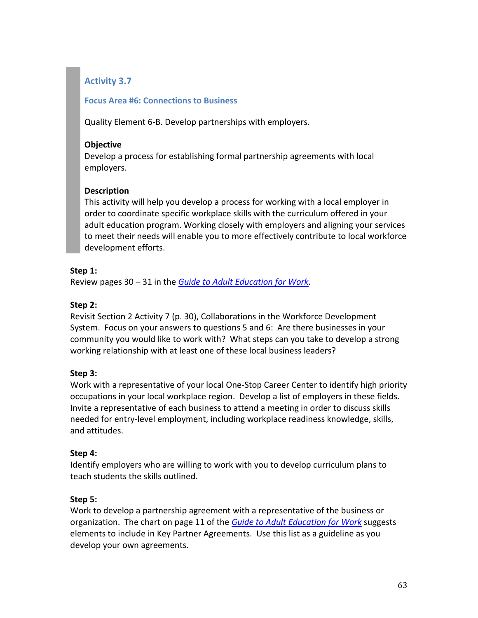#### **Focus Area #6: Connections to Business**

Quality Element 6-B. Develop partnerships with employers.

#### **Objective**

Develop a process for establishing formal partnership agreements with local employers.

## **Description**

This activity will help you develop a process for working with a local employer in order to coordinate specific workplace skills with the curriculum offered in your adult education program. Working closely with employers and aligning your services to meet their needs will enable you to more effectively contribute to local workforce development efforts.

## **Step 1:**

Review pages 30 – 31 in the *[Guide to Adult Education for Work](http://www.jff.org/sites/default/files/adult_ed_work_guide.pdf)*.

## **Step 2:**

Revisit Section 2 Activity 7 (p. 30), Collaborations in the Workforce Development System. Focus on your answers to questions 5 and 6: Are there businesses in your community you would like to work with? What steps can you take to develop a strong working relationship with at least one of these local business leaders?

## **Step 3:**

Work with a representative of your local One-Stop Career Center to identify high priority occupations in your local workplace region. Develop a list of employers in these fields. Invite a representative of each business to attend a meeting in order to discuss skills needed for entry-level employment, including workplace readiness knowledge, skills, and attitudes.

## **Step 4:**

Identify employers who are willing to work with you to develop curriculum plans to teach students the skills outlined.

## **Step 5:**

Work to develop a partnership agreement with a representative of the business or organization. The chart on page 11 of the *[Guide to Adult Education for Work](http://www.jff.org/sites/default/files/adult_ed_work_guide.pdf)* suggests elements to include in Key Partner Agreements. Use this list as a guideline as you develop your own agreements.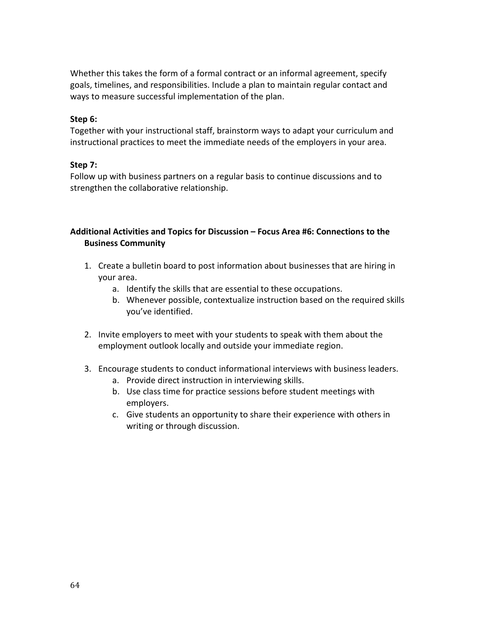Whether this takes the form of a formal contract or an informal agreement, specify goals, timelines, and responsibilities. Include a plan to maintain regular contact and ways to measure successful implementation of the plan.

#### **Step 6:**

Together with your instructional staff, brainstorm ways to adapt your curriculum and instructional practices to meet the immediate needs of the employers in your area.

#### **Step 7:**

Follow up with business partners on a regular basis to continue discussions and to strengthen the collaborative relationship.

#### **Additional Activities and Topics for Discussion – Focus Area #6: Connections to the Business Community**

- 1. Create a bulletin board to post information about businesses that are hiring in your area.
	- a. Identify the skills that are essential to these occupations.
	- b. Whenever possible, contextualize instruction based on the required skills you've identified.
- 2. Invite employers to meet with your students to speak with them about the employment outlook locally and outside your immediate region.
- 3. Encourage students to conduct informational interviews with business leaders.
	- a. Provide direct instruction in interviewing skills.
	- b. Use class time for practice sessions before student meetings with employers.
	- c. Give students an opportunity to share their experience with others in writing or through discussion.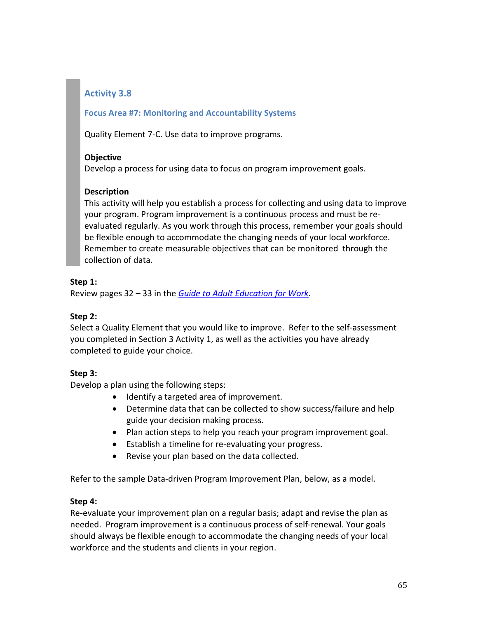## **Focus Area #7: Monitoring and Accountability Systems**

Quality Element 7-C. Use data to improve programs.

## **Objective**

Develop a process for using data to focus on program improvement goals.

## **Description**

This activity will help you establish a process for collecting and using data to improve your program. Program improvement is a continuous process and must be reevaluated regularly. As you work through this process, remember your goals should be flexible enough to accommodate the changing needs of your local workforce. Remember to create measurable objectives that can be monitored through the collection of data.

## **Step 1:**

Review pages 32 – 33 in the *[Guide to Adult Education for Work](http://www.jff.org/sites/default/files/adult_ed_work_guide.pdf)*.

## **Step 2:**

Select a Quality Element that you would like to improve. Refer to the self-assessment you completed in Section 3 Activity 1, as well as the activities you have already completed to guide your choice.

## **Step 3:**

Develop a plan using the following steps:

- Identify a targeted area of improvement.
- Determine data that can be collected to show success/failure and help guide your decision making process.
- Plan action steps to help you reach your program improvement goal.
- Establish a timeline for re-evaluating your progress.
- Revise your plan based on the data collected.

Refer to the sample Data-driven Program Improvement Plan, below, as a model.

## **Step 4:**

Re-evaluate your improvement plan on a regular basis; adapt and revise the plan as needed. Program improvement is a continuous process of self-renewal. Your goals should always be flexible enough to accommodate the changing needs of your local workforce and the students and clients in your region.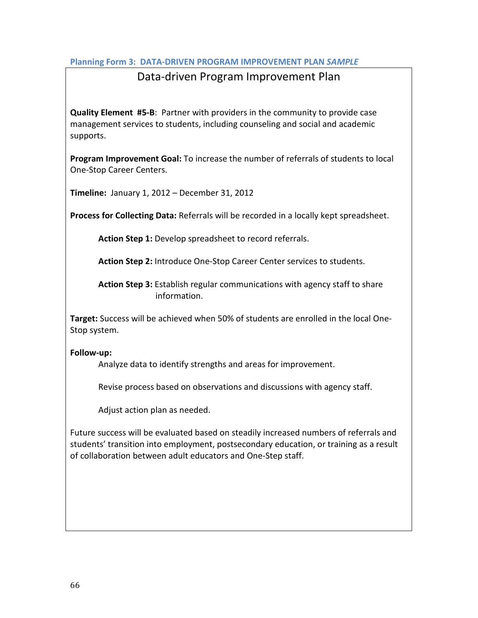#### **Planning Form 3: DATA-DRIVEN PROGRAM IMPROVEMENT PLAN** *SAMPLE*

## Data-driven Program Improvement Plan

**Quality Element #5-B**: Partner with providers in the community to provide case management services to students, including counseling and social and academic supports.

**Program Improvement Goal:** To increase the number of referrals of students to local One-Stop Career Centers.

**Timeline:** January 1, 2012 – December 31, 2012

**Process for Collecting Data:** Referrals will be recorded in a locally kept spreadsheet.

**Action Step 1:** Develop spreadsheet to record referrals.

**Action Step 2:** Introduce One-Stop Career Center services to students.

**Action Step 3:** Establish regular communications with agency staff to share information.

**Target:** Success will be achieved when 50% of students are enrolled in the local One-Stop system.

#### **Follow-up:**

Analyze data to identify strengths and areas for improvement.

Revise process based on observations and discussions with agency staff.

Adjust action plan as needed.

Future success will be evaluated based on steadily increased numbers of referrals and students' transition into employment, postsecondary education, or training as a result of collaboration between adult educators and One-Step staff.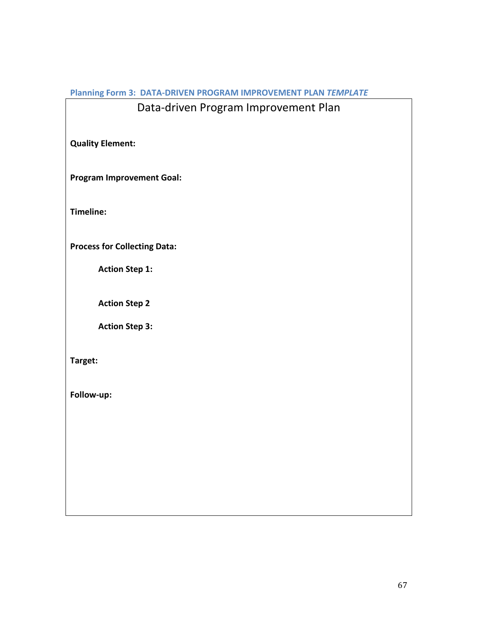## **Planning Form 3: DATA-DRIVEN PROGRAM IMPROVEMENT PLAN** *TEMPLATE*

# Data-driven Program Improvement Plan

**Quality Element:** 

**Program Improvement Goal:**

**Timeline:**

**Process for Collecting Data:**

**Action Step 1:**

**Action Step 2**

**Action Step 3:**

**Target:**

**Follow-up:**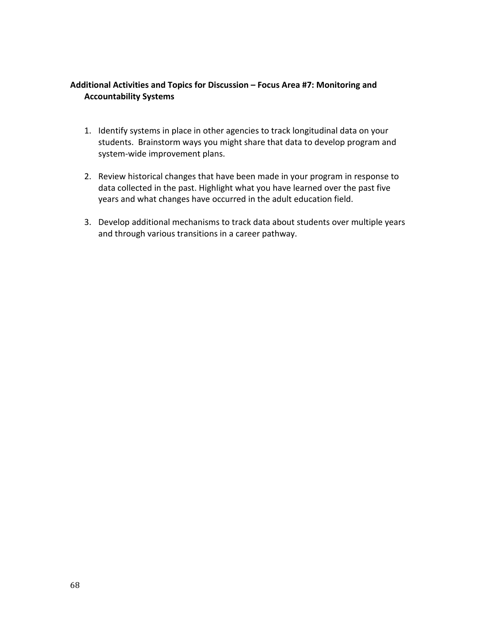## **Additional Activities and Topics for Discussion – Focus Area #7: Monitoring and Accountability Systems**

- 1. Identify systems in place in other agencies to track longitudinal data on your students. Brainstorm ways you might share that data to develop program and system-wide improvement plans.
- 2. Review historical changes that have been made in your program in response to data collected in the past. Highlight what you have learned over the past five years and what changes have occurred in the adult education field.
- 3. Develop additional mechanisms to track data about students over multiple years and through various transitions in a career pathway.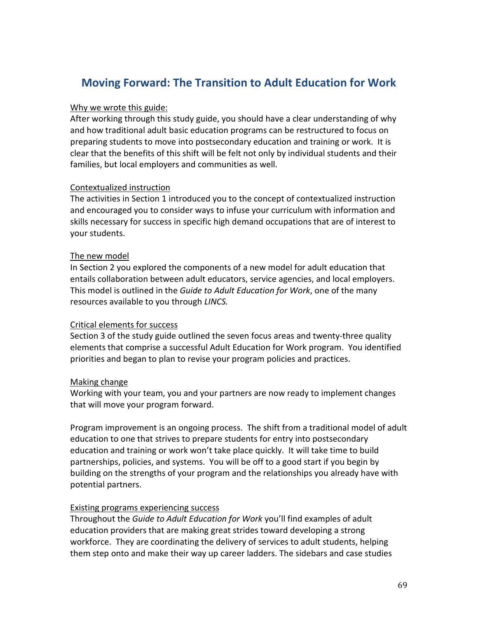# **Moving Forward: The Transition to Adult Education for Work**

#### Why we wrote this guide:

After working through this study guide, you should have a clear understanding of why and how traditional adult basic education programs can be restructured to focus on preparing students to move into postsecondary education and training or work. It is clear that the benefits of this shift will be felt not only by individual students and their families, but local employers and communities as well.

## Contextualized instruction

The activities in Section 1 introduced you to the concept of contextualized instruction and encouraged you to consider ways to infuse your curriculum with information and skills necessary for success in specific high demand occupations that are of interest to your students.

#### The new model

In Section 2 you explored the components of a new model for adult education that entails collaboration between adult educators, service agencies, and local employers. This model is outlined in the *Guide to Adult Education for Work*, one of the many resources available to you through *LINCS.*

#### Critical elements for success

Section 3 of the study guide outlined the seven focus areas and twenty-three quality elements that comprise a successful Adult Education for Work program. You identified priorities and began to plan to revise your program policies and practices.

## Making change

Working with your team, you and your partners are now ready to implement changes that will move your program forward.

Program improvement is an ongoing process. The shift from a traditional model of adult education to one that strives to prepare students for entry into postsecondary education and training or work won't take place quickly. It will take time to build partnerships, policies, and systems. You will be off to a good start if you begin by building on the strengths of your program and the relationships you already have with potential partners.

## Existing programs experiencing success

Throughout the *Guide to Adult Education for Work* you'll find examples of adult education providers that are making great strides toward developing a strong workforce. They are coordinating the delivery of services to adult students, helping them step onto and make their way up career ladders. The sidebars and case studies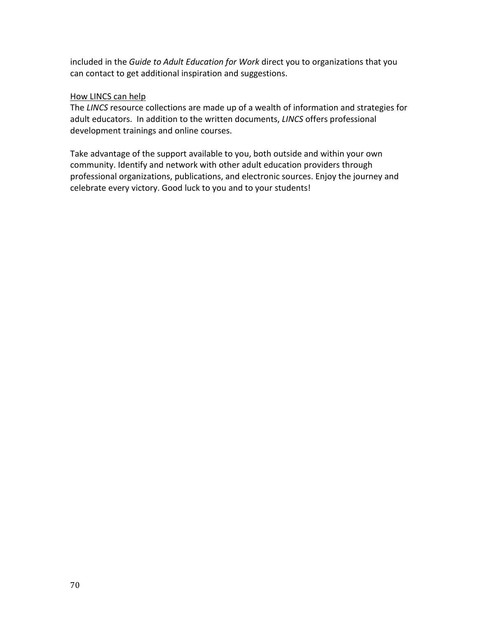included in the *Guide to Adult Education for Work* direct you to organizations that you can contact to get additional inspiration and suggestions.

#### How LINCS can help

The *LINCS* resource collections are made up of a wealth of information and strategies for adult educators. In addition to the written documents, *LINCS* offers professional development trainings and online courses.

Take advantage of the support available to you, both outside and within your own community. Identify and network with other adult education providers through professional organizations, publications, and electronic sources. Enjoy the journey and celebrate every victory. Good luck to you and to your students!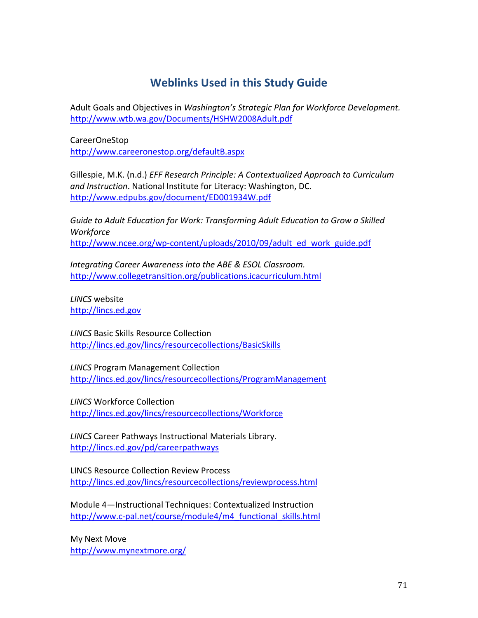# **Weblinks Used in this Study Guide**

[Adult Goals and Objectives](http://www.wtb.wa.gov/Documents/HSHW2008Adult.pdf) in *Washington's Strategic Plan for Workforce Development.* <http://www.wtb.wa.gov/Documents/HSHW2008Adult.pdf>

CareerOneStop <http://www.careeronestop.org/defaultB.aspx>

Gillespie, M.K. (n.d.) *[EFF Research Principle: A Contextualized Approach to Curriculum](http://www.edpubs.gov/document/ED001934W.pdf)  [and Instruction](http://www.edpubs.gov/document/ED001934W.pdf)*. National Institute for Literacy: Washington, DC. <http://www.edpubs.gov/document/ED001934W.pdf>

*[Guide to Adult Education for Work: Transforming Adult Education to Grow a Skilled](http://www.ncee.org/wp-content/uploads/2010/09/adult_ed_work_guide.pdf)  [Workforce](http://www.ncee.org/wp-content/uploads/2010/09/adult_ed_work_guide.pdf)* [http://www.ncee.org/wp-content/uploads/2010/09/adult\\_ed\\_work\\_guide.pdf](http://www.ncee.org/wp-content/uploads/2010/09/adult_ed_work_guide.pdf)

*Integrating Career Awareness into the ABE & ESOL Classroom.*  <http://www.collegetransition.org/publications.icacurriculum.html>

*LINCS* website [http://lincs.ed.gov](http://lincs.ed.gov/)

*LINCS* Basic [Skills Resource Collection](http://lincs.ed.gov/lincs/resourcecollections/reviewprocess.html) <http://lincs.ed.gov/lincs/resourcecollections/BasicSkills>

*LINCS* Program Management Collection <http://lincs.ed.gov/lincs/resourcecollections/ProgramManagement>

*LINCS* Workforce Collection <http://lincs.ed.gov/lincs/resourcecollections/Workforce>

*LINCS* [Career Pathways Instructional Materials Library.](http://lincs.ed.gov/pd/careerpathways) <http://lincs.ed.gov/pd/careerpathways>

[LINCS Resource Collection Review Process](http://lincs.ed.gov/lincs/resourcecollections/reviewprocess.html)  <http://lincs.ed.gov/lincs/resourcecollections/reviewprocess.html>

Module 4—Instructional Techniques: Contextualized Instruction [http://www.c-pal.net/course/module4/m4\\_functional\\_skills.html](http://www.c-pal.net/course/module4/m4_functional_skills.html)

My Next Move <http://www.mynextmore.org/>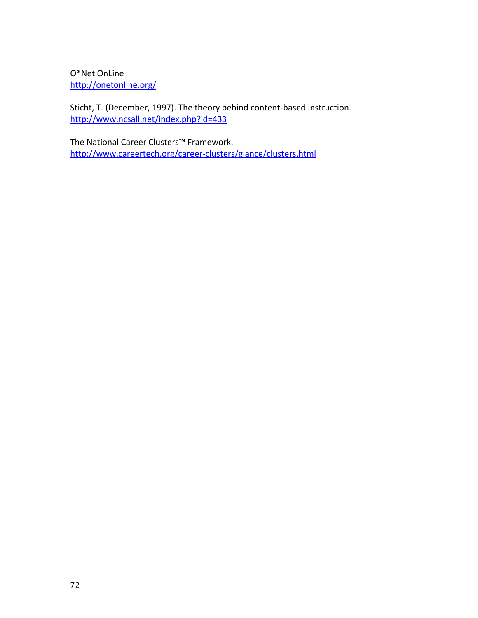O\*Net OnLine <http://onetonline.org/>

Sticht, T. (December, 1997). The theory behind content-based instruction. <http://www.ncsall.net/index.php?id=433>

[The National Career Clusters™](http://www.careertech.org/career-clusters/glance/clusters.html) Framework. <http://www.careertech.org/career-clusters/glance/clusters.html>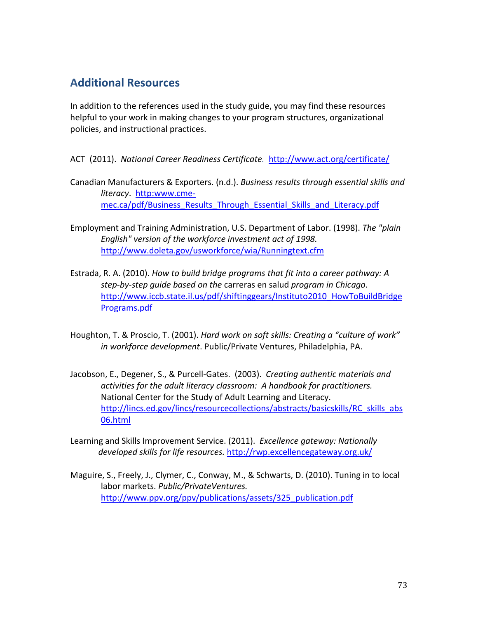## **Additional Resources**

In addition to the references used in the study guide, you may find these resources helpful to your work in making changes to your program structures, organizational policies, and instructional practices.

ACT (2011). *National Career Readiness Certificate.* <http://www.act.org/certificate/>

- Canadian Manufacturers & Exporters. (n.d.). *Business results through essential skills and literacy*. [http:www.cme](http://www.cme-mec.ca/pdf/Business_Results_Through_Essential_Skills_and_Literacy.pdf)[mec.ca/pdf/Business\\_Results\\_Through\\_Essential\\_Skills\\_and\\_Literacy.pdf](http://www.cme-mec.ca/pdf/Business_Results_Through_Essential_Skills_and_Literacy.pdf)
- Employment and Training Administration, U.S. Department of Labor. (1998). *The "plain English" version of the workforce investment act of 1998.*  <http://www.doleta.gov/usworkforce/wia/Runningtext.cfm>
- Estrada, R. A. (2010). *How to build bridge programs that fit into a career pathway: A step-by-step guide based on the* carreras en salud *program in Chicago*. [http://www.iccb.state.il.us/pdf/shiftinggears/Instituto2010\\_HowToBuildBridge](http://www.iccb.state.il.us/pdf/shifting%20gears/Instituto2010_HowToBuildBridgePrograms.pdf) [Programs.pdf](http://www.iccb.state.il.us/pdf/shifting%20gears/Instituto2010_HowToBuildBridgePrograms.pdf)
- Houghton, T. & Proscio, T. (2001). *Hard work on soft skills: Creating a "culture of work" in workforce development*. Public/Private Ventures, Philadelphia, PA.
- Jacobson, E., Degener, S., & Purcell-Gates. (2003). *Creating authentic materials and activities for the adult literacy classroom: A handbook for practitioners.*  National Center for the Study of Adult Learning and Literacy. [http://lincs.ed.gov/lincs/resourcecollections/abstracts/basicskills/RC\\_skills\\_abs](http://lincs.ed.gov/lincs/resourcecollections/abstracts/basicskills/RC_skills_abs06.html) [06.html](http://lincs.ed.gov/lincs/resourcecollections/abstracts/basicskills/RC_skills_abs06.html)
- Learning and Skills Improvement Service. (2011). *Excellence gateway: Nationally developed skills for life resources.* <http://rwp.excellencegateway.org.uk/>
- Maguire, S., Freely, J., Clymer, C., Conway, M., & Schwarts, D. (2010). Tuning in to local labor markets. *Public/PrivateVentures.* [http://www.ppv.org/ppv/publications/assets/325\\_publication.pdf](http://www.ppv.org/ppv/publications/assets/325_publication.pdf)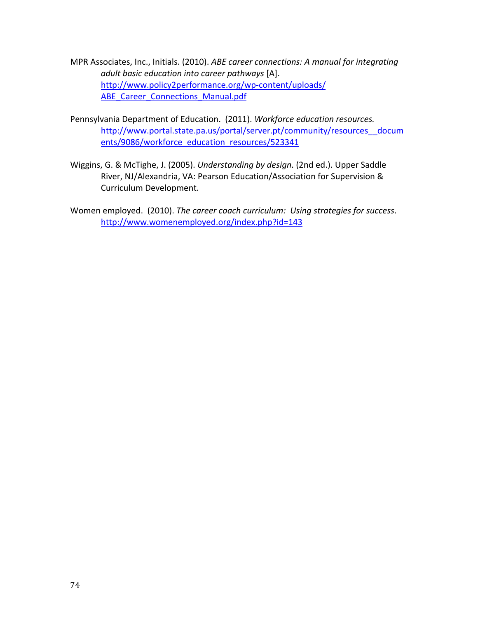- MPR Associates, Inc., Initials. (2010). *ABE career connections: A manual for integrating adult basic education into career pathways* [A]. [http://www.policy2performance.org/wp-content/uploads/](http://www.policy2performance.org/wp-content/uploads/ABE_Career_Connections_Manual.pdf) ABE Career Connections Manual.pdf
- Pennsylvania Department of Education. (2011). *Workforce education resources.* [http://www.portal.state.pa.us/portal/server.pt/community/resources\\_\\_docum](http://www.portal.state.pa.us/portal/server.pt/community/resources__documents/9086/workforce_education_resources/523341) [ents/9086/workforce\\_education\\_resources/523341](http://www.portal.state.pa.us/portal/server.pt/community/resources__documents/9086/workforce_education_resources/523341)
- Wiggins, G. & McTighe, J. (2005). *Understanding by design*. (2nd ed.). Upper Saddle River, NJ/Alexandria, VA: Pearson Education/Association for Supervision & Curriculum Development.
- Women employed. (2010). *The career coach curriculum: Using strategies for success*. <http://www.womenemployed.org/index.php?id=143>